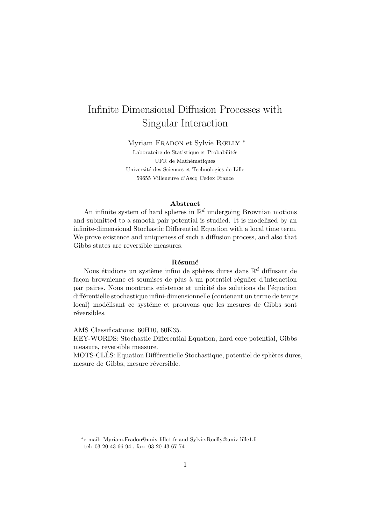# Infinite Dimensional Diffusion Processes with Singular Interaction

Myriam FRADON et Sylvie RŒLLY <sup>\*</sup>

Laboratoire de Statistique et Probabilités UFR de Mathématiques Université des Sciences et Technologies de Lille 59655 Villeneuve d'Ascq Cedex France

#### Abstract

An infinite system of hard spheres in  $\mathbb{R}^d$  undergoing Brownian motions and submitted to a smooth pair potential is studied. It is modelized by an infinite-dimensional Stochastic Differential Equation with a local time term. We prove existence and uniqueness of such a diffusion process, and also that Gibbs states are reversible measures.

#### Résumé

Nous étudions un système infini de sphères dures dans  $\mathbb{R}^d$  diffusant de façon brownienne et soumises de plus à un potentiel régulier d'interaction par paires. Nous montrons existence et unicité des solutions de l'équation diff´erentielle stochastique infini-dimensionnelle (contenant un terme de temps local) modélisant ce systéme et prouvons que les mesures de Gibbs sont réversibles.

AMS Classifications: 60H10, 60K35.

KEY-WORDS: Stochastic Differential Equation, hard core potential, Gibbs measure, reversible measure.

MOTS-CLÉS: Equation Différentielle Stochastique, potentiel de sphères dures, mesure de Gibbs, mesure réversible.

∗ e-mail: Myriam.Fradon@univ-lille1.fr and Sylvie.Roelly@univ-lille1.fr tel: 03 20 43 66 94 , fax: 03 20 43 67 74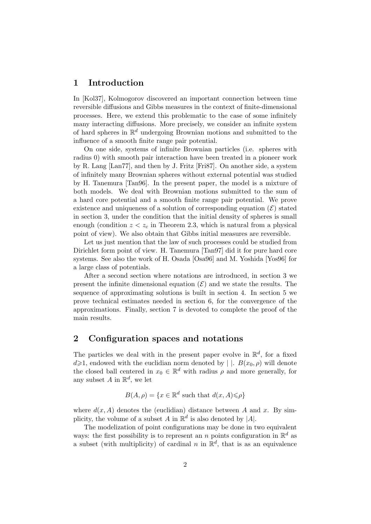### 1 Introduction

In [Kol37], Kolmogorov discovered an important connection between time reversible diffusions and Gibbs measures in the context of finite-dimensional processes. Here, we extend this problematic to the case of some infinitely many interacting diffusions. More precisely, we consider an infinite system of hard spheres in  $\mathbb{R}^d$  undergoing Brownian motions and submitted to the influence of a smooth finite range pair potential.

On one side, systems of infinite Brownian particles (i.e. spheres with radius 0) with smooth pair interaction have been treated in a pioneer work by R. Lang [Lan77], and then by J. Fritz [Fri87]. On another side, a system of infinitely many Brownian spheres without external potential was studied by H. Tanemura [Tan96]. In the present paper, the model is a mixture of both models. We deal with Brownian motions submitted to the sum of a hard core potential and a smooth finite range pair potential. We prove existence and uniqueness of a solution of corresponding equation  $(\mathcal{E})$  stated in section 3, under the condition that the initial density of spheres is small enough (condition  $z < z_c$  in Theorem 2.3, which is natural from a physical point of view). We also obtain that Gibbs initial measures are reversible.

Let us just mention that the law of such processes could be studied from Dirichlet form point of view. H. Tanemura [Tan97] did it for pure hard core systems. See also the work of H. Osada [Osa96] and M. Yoshida [Yos96] for a large class of potentials.

After a second section where notations are introduced, in section 3 we present the infinite dimensional equation  $(\mathcal{E})$  and we state the results. The sequence of approximating solutions is built in section 4. In section 5 we prove technical estimates needed in section 6, for the convergence of the approximations. Finally, section 7 is devoted to complete the proof of the main results.

### 2 Configuration spaces and notations

The particles we deal with in the present paper evolve in  $\mathbb{R}^d$ , for a fixed  $d\geqslant 1$ , endowed with the euclidian norm denoted by  $||$ .  $B(x_0, \rho)$  will denote the closed ball centered in  $x_0 \in \mathbb{R}^d$  with radius  $\rho$  and more generally, for any subset A in  $\mathbb{R}^d$ , we let

$$
B(A, \rho) = \{ x \in \mathbb{R}^d \text{ such that } d(x, A) \leqslant \rho \}
$$

where  $d(x, A)$  denotes the (euclidian) distance between A and x. By simplicity, the volume of a subset A in  $\mathbb{R}^d$  is also denoted by |A|.

The modelization of point configurations may be done in two equivalent ways: the first possibility is to represent an n points configuration in  $\mathbb{R}^d$  as a subset (with multiplicity) of cardinal n in  $\mathbb{R}^d$ , that is as an equivalence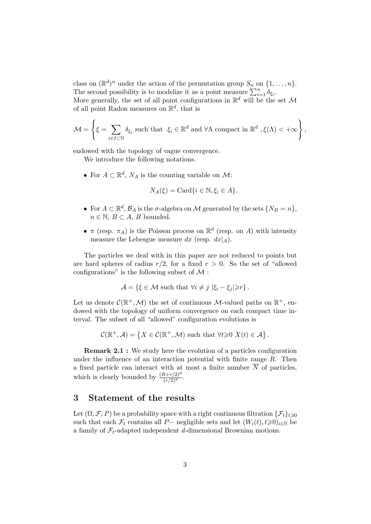class on  $(\mathbb{R}^d)^n$  under the action of the permutation group  $S_n$  on  $\{1, \ldots, n\}$ . The second possibility is to modelize it as a point measure  $\sum_{i=1}^{n} \delta_{\xi_i}$ . More generally, the set of all point configurations in  $\mathbb{R}^d$  will be the set M of all point Radon measures on  $\mathbb{R}^d$ , that is

$$
\mathcal{M} = \left\{ \xi = \sum_{i \in I \subset \mathbb{N}} \delta_{\xi_i} \text{ such that } \xi_i \in \mathbb{R}^d \text{ and } \forall \Lambda \text{ compact in } \mathbb{R}^d, \xi(\Lambda) < +\infty \right\},\
$$

endowed with the topology of vague convergence.

We introduce the following notations.

• For  $A \subset \mathbb{R}^d$ ,  $N_A$  is the counting variable on  $\mathcal{M}$ :

$$
N_A(\xi) = \text{Card}\{i \in \mathbb{N}, \xi_i \in A\}.
$$

- For  $A \subset \mathbb{R}^d$ ,  $\mathcal{B}_A$  is the  $\sigma$ -algebra on M generated by the sets  $\{N_B = n\}$ ,  $n \in \mathbb{N}, B \subset A, B$  bounded.
- $\pi$  (resp.  $\pi_A$ ) is the Poisson process on  $\mathbb{R}^d$  (resp. on A) with intensity measure the Lebesgue measure dx (resp.  $dx|_A$ ).

The particles we deal with in this paper are not reduced to points but are hard spheres of radius  $r/2$ , for a fixed  $r > 0$ . So the set of "allowed" configurations" is the following subset of  $\mathcal M$ :

$$
\mathcal{A} = \{\xi \in \mathcal{M} \text{ such that } \forall i \neq j \, |\xi_i - \xi_j| \geq r \}.
$$

Let us denote  $\mathcal{C}(\mathbb{R}^+, \mathcal{M})$  the set of continuous M-valued paths on  $\mathbb{R}^+$ , endowed with the topology of uniform convergence on each compact time interval. The subset of all "allowed" configuration evolutions is

 $\mathcal{C}(\mathbb{R}^+,\mathcal{A}) = \{X \in \mathcal{C}(\mathbb{R}^+,\mathcal{M}) \text{ such that } \forall t \geqslant 0 \ X(t) \in \mathcal{A}\}.$ 

Remark 2.1 : We study here the evolution of a particles configuration under the influence of an interaction potential with finite range  $R$ . Then a fixed particle can interact with at most a finite number  $\overline{N}$  of particles, which is clearly bounded by  $\frac{(R+r/2)^d}{(r/2)^d}$ .

### 3 Statement of the results

Let  $(\Omega, \mathcal{F}, P)$  be a probability space with a right continuous filtration  $\{\mathcal{F}_t\}_{t\geqslant 0}$ such that each  $\mathcal{F}_t$  contains all P− negligible sets and let  $(W_i(t), t \ge 0)_{i \in \mathbb{N}}$  be a family of  $\mathcal{F}_t$ -adapted independent d-dimensional Brownian motions.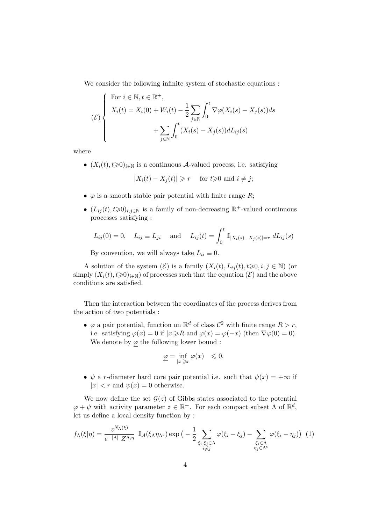We consider the following infinite system of stochastic equations :

$$
\mathcal{E}\left\{\n\begin{array}{l}\n\text{For } i \in \mathbb{N}, t \in \mathbb{R}^+, \\
X_i(t) = X_i(0) + W_i(t) - \frac{1}{2} \sum_{j \in \mathbb{N}} \int_0^t \nabla \varphi(X_i(s) - X_j(s)) ds \\
+ \sum_{j \in \mathbb{N}} \int_0^t (X_i(s) - X_j(s)) dL_{ij}(s)\n\end{array}\n\right.
$$

where

•  $(X_i(t), t \geq 0)_{i \in \mathbb{N}}$  is a continuous A-valued process, i.e. satisfying

$$
|X_i(t) - X_j(t)| \ge r \quad \text{ for } t \ge 0 \text{ and } i \ne j;
$$

- $\varphi$  is a smooth stable pair potential with finite range R;
- $(L_{ij}(t), t \ge 0)_{i,j \in \mathbb{N}}$  is a family of non-decreasing  $\mathbb{R}^+$ -valued continuous processes satisfying :

$$
L_{ij}(0) = 0
$$
,  $L_{ij} \equiv L_{ji}$  and  $L_{ij}(t) = \int_0^t \mathbb{1}_{|X_i(s) - X_j(s)| = r} dL_{ij}(s)$ 

By convention, we will always take  $L_{ii} \equiv 0$ .

A solution of the system  $(\mathcal{E})$  is a family  $(X_i(t), L_{ij}(t), t \geq 0, i, j \in \mathbb{N})$  (or simply  $(X_i(t), t \ge 0)_{i \in \mathbb{N}}$  of processes such that the equation  $(\mathcal{E})$  and the above conditions are satisfied.

Then the interaction between the coordinates of the process derives from the action of two potentials :

•  $\varphi$  a pair potential, function on  $\mathbb{R}^d$  of class  $\mathcal{C}^2$  with finite range  $R > r$ , i.e. satisfying  $\varphi(x) = 0$  if  $|x| \ge R$  and  $\varphi(x) = \varphi(-x)$  (then  $\nabla \varphi(0) = 0$ ). We denote by  $\varphi$  the following lower bound :

$$
\underline{\varphi} = \inf_{|x| \ge r} \varphi(x) \le 0.
$$

•  $\psi$  a r-diameter hard core pair potential i.e. such that  $\psi(x) = +\infty$  if  $|x| < r$  and  $\psi(x) = 0$  otherwise.

We now define the set  $\mathcal{G}(z)$  of Gibbs states associated to the potential  $\varphi + \psi$  with activity parameter  $z \in \mathbb{R}^+$ . For each compact subset  $\Lambda$  of  $\mathbb{R}^d$ , let us define a local density function by :

$$
f_{\Lambda}(\xi|\eta) = \frac{z^{N_{\Lambda}(\xi)}}{e^{-|\Lambda|} Z^{\Lambda,\eta}} \mathbb{I}_{\mathcal{A}}(\xi_{\Lambda}\eta_{\Lambda^c}) \exp\big(-\frac{1}{2} \sum_{\substack{\xi_i,\xi_j \in \Lambda \\ i \neq j}} \varphi(\xi_i - \xi_j) - \sum_{\substack{\xi_i \in \Lambda \\ \eta_j \in \Lambda^c}} \varphi(\xi_i - \eta_j)\big) \tag{1}
$$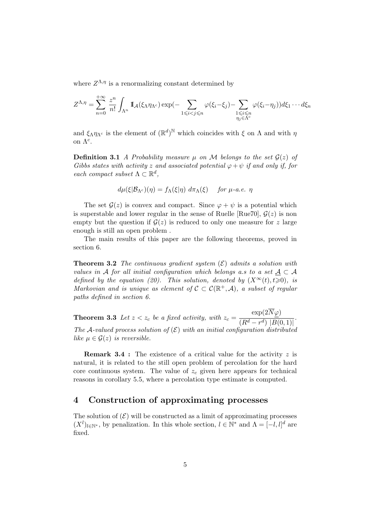where  $Z^{\Lambda,\eta}$  is a renormalizing constant determined by

$$
Z^{\Lambda,\eta} = \sum_{n=0}^{+\infty} \frac{z^n}{n!} \int_{\Lambda^n} \mathbb{I}_{\mathcal{A}}(\xi_{\Lambda} \eta_{\Lambda^c}) \exp(-\sum_{1 \leq i < j \leq n} \varphi(\xi_i - \xi_j) - \sum_{\substack{1 \leq i \leq n \\ \eta_j \in \Lambda^c}} \varphi(\xi_i - \eta_j)) d\xi_1 \cdots d\xi_n
$$

and  $\xi_{\Lambda}\eta_{\Lambda^c}$  is the element of  $(\mathbb{R}^d)^{\mathbb{N}}$  which coincides with  $\xi$  on  $\Lambda$  and with  $\eta$ on  $\Lambda^c$ .

**Definition 3.1** A Probability measure  $\mu$  on M belongs to the set  $\mathcal{G}(z)$  of Gibbs states with activity z and associated potential  $\varphi + \psi$  if and only if, for each compact subset  $\Lambda \subset \mathbb{R}^d$ ,

$$
d\mu(\xi|\mathcal{B}_{\Lambda^c})(\eta) = f_{\Lambda}(\xi|\eta) d\pi_{\Lambda}(\xi) \quad \text{for } \mu\text{-a.e. } \eta
$$

The set  $\mathcal{G}(z)$  is convex and compact. Since  $\varphi + \psi$  is a potential which is superstable and lower regular in the sense of Ruelle [Rue70],  $\mathcal{G}(z)$  is non empty but the question if  $\mathcal{G}(z)$  is reduced to only one measure for z large enough is still an open problem .

The main results of this paper are the following theorems, proved in section 6.

**Theorem 3.2** The continuous gradient system  $(\mathcal{E})$  admits a solution with values in A for all initial configuration which belongs a.s to a set  $A \subset A$ defined by the equation (20). This solution, denoted by  $(X^{\infty}(t), t\geq 0)$ , is Markovian and is unique as element of  $C \subset C(\mathbb{R}^+, \mathcal{A})$ , a subset of regular paths defined in section 6.

**Theorem 3.3** Let  $z < z_c$  be a fixed activity, with  $z_c =$  $\exp(2N\varphi)$  $\frac{r_1(r_1-r_2)}{(R^d-r^d) |B(0,1)|}.$ The A-valued process solution of  $(\mathcal{E})$  with an initial configuration distributed like  $\mu \in \mathcal{G}(z)$  is reversible.

**Remark 3.4** : The existence of a critical value for the activity z is natural, it is related to the still open problem of percolation for the hard core continuous system. The value of  $z_c$  given here appears for technical reasons in corollary 5.5, where a percolation type estimate is computed.

### 4 Construction of approximating processes

The solution of  $(\mathcal{E})$  will be constructed as a limit of approximating processes  $(X^{l})_{l\in\mathbb{N}^{*}}$ , by penalization. In this whole section,  $l\in\mathbb{N}^{*}$  and  $\Lambda=[-l,l]^{d}$  are fixed.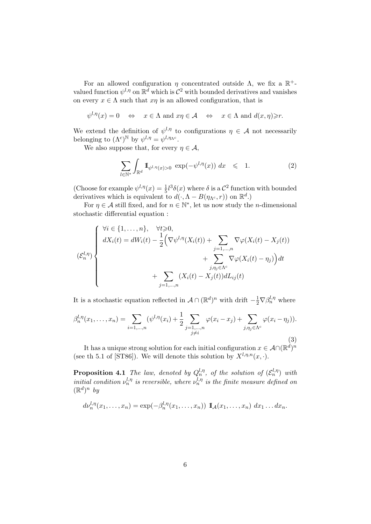For an allowed configuration  $\eta$  concentrated outside  $\Lambda$ , we fix a  $\mathbb{R}^+$ valued function  $\psi^{l,\eta}$  on  $\mathbb{R}^d$  which is  $\mathcal{C}^2$  with bounded derivatives and vanishes on every  $x \in \Lambda$  such that  $x\eta$  is an allowed configuration, that is

$$
\psi^{l,\eta}(x) = 0 \quad \Leftrightarrow \quad x \in \Lambda \text{ and } x\eta \in \mathcal{A} \quad \Leftrightarrow \quad x \in \Lambda \text{ and } d(x,\eta) \geq r.
$$

We extend the definition of  $\psi^{l,\eta}$  to configurations  $\eta \in \mathcal{A}$  not necessarily belonging to  $(\Lambda^c)^{\mathbb{N}}$  by  $\psi^{l,\eta} = \psi^{l,\eta_{\Lambda^c}}$ .

We also suppose that, for every  $\eta \in \mathcal{A}$ ,

$$
\sum_{l \in \mathbb{N}^*} \int_{\mathbb{R}^d} \mathbb{I}_{\psi^{l,\eta}(x) > 0} \, \exp(-\psi^{l,\eta}(x)) \, dx \quad \leqslant \quad 1. \tag{2}
$$

(Choose for example  $\psi^{l,\eta}(x) = \frac{1}{5}l^3\delta(x)$  where  $\delta$  is a  $\mathcal{C}^2$  function with bounded derivatives which is equivalent to  $d(\cdot, \Lambda - B(\eta_{\Lambda^c}, r))$  on  $\mathbb{R}^d$ .)

For  $\eta \in \mathcal{A}$  still fixed, and for  $n \in \mathbb{N}^*$ , let us now study the *n*-dimensional stochastic differential equation :

$$
\left\{\n\begin{aligned}\n\forall i \in \{1, \ldots, n\}, &\forall t \geq 0, \\
dX_i(t) = dW_i(t) - \frac{1}{2} \Big( \nabla \psi^{l, \eta}(X_i(t)) + \sum_{j=1, \ldots, n} \nabla \varphi(X_i(t) - X_j(t)) \\
&+ \sum_{j, \eta_j \in \Lambda^c} \nabla \varphi(X_i(t) - \eta_j) \Big) dt \\
&+ \sum_{j=1, \ldots, n} (X_i(t) - X_j(t)) dL_{ij}(t)\n\end{aligned}\n\right\}
$$

It is a stochastic equation reflected in  $\mathcal{A} \cap (\mathbb{R}^d)^n$  with drift  $-\frac{1}{2} \nabla \beta_n^{l, \eta}$  where

$$
\beta_n^{l,\eta}(x_1,\ldots,x_n) = \sum_{i=1,\ldots,n} (\psi^{l,\eta}(x_i) + \frac{1}{2} \sum_{\substack{j=1,\ldots,n \\ j\neq i}} \varphi(x_i - x_j) + \sum_{j,\eta_j \in \Lambda^c} \varphi(x_i - \eta_j)).
$$
\n(3)

It has a unique strong solution for each initial configuration  $x \in \mathcal{A} \cap (\mathbb{R}^d)^n$ (see th 5.1 of [ST86]). We will denote this solution by  $X^{l,\eta,n}(x, \cdot)$ .

**Proposition 4.1** The law, denoted by  $Q_n^{l,\eta}$ , of the solution of  $(\mathcal{E}_n^{l,\eta})$  with initial condition  $\nu_n^{l,\eta}$  is reversible, where  $\nu_n^{l,\eta}$  is the finite measure defined on  $(\mathbb{R}^d)^n$  by

$$
d\nu_n^{l,\eta}(x_1,\ldots,x_n)=\exp(-\beta_n^{l,\eta}(x_1,\ldots,x_n))\mathbf{1}_{\mathcal{A}}(x_1,\ldots,x_n)\,dx_1\ldots dx_n.
$$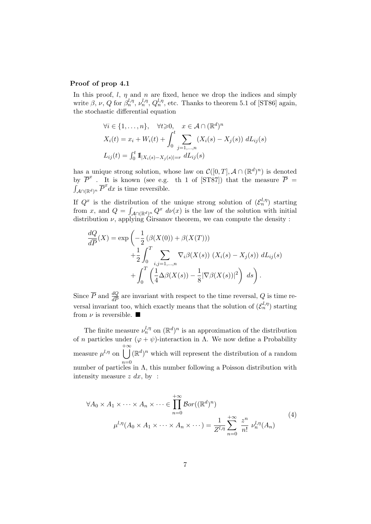#### Proof of prop 4.1

In this proof,  $l, \eta$  and  $n$  are fixed, hence we drop the indices and simply write  $\beta, \nu, Q$  for  $\beta_n^{l,\eta}, \nu_n^{l,\eta}, Q_n^{l,\eta}$ , etc. Thanks to theorem 5.1 of [ST86] again, the stochastic differential equation

$$
\forall i \in \{1, \dots, n\}, \quad \forall t \geq 0, \quad x \in \mathcal{A} \cap (\mathbb{R}^d)^n
$$

$$
X_i(t) = x_i + W_i(t) + \int_0^t \sum_{j=1, \dots, n} (X_i(s) - X_j(s)) dL_{ij}(s)
$$

$$
L_{ij}(t) = \int_0^t \mathbb{I}_{|X_i(s) - X_j(s)| = r} dL_{ij}(s)
$$

has a unique strong solution, whose law on  $\mathcal{C}([0,T], \mathcal{A} \cap (\mathbb{R}^d)^n)$  is denoted by  $\overline{P}^x$ . It is known (see e.g. th 1 of [ST87]) that the measure  $\overline{P}$  =  $\int_{A\cap(\mathbb{R}^d)^n}^{\tilde{}} \overline{P}^x dx$  is time reversible.

If  $Q^x$  is the distribution of the unique strong solution of  $(\mathcal{E}_n^{l,\eta})$  starting from x, and  $Q = \int_{\mathcal{A} \cap (\mathbb{R}^d)^n} Q^x \ d\nu(x)$  is the law of the solution with initial distribution  $\nu$ , applying Girsanov theorem, we can compute the density :

$$
\frac{dQ}{d\overline{P}}(X) = \exp\left(-\frac{1}{2}\left(\beta(X(0)) + \beta(X(T))\right) + \frac{1}{2}\int_0^T \sum_{i,j=1,\dots,n} \nabla_i \beta(X(s)) \left(X_i(s) - X_j(s)\right) dL_{ij}(s) + \int_0^T \left(\frac{1}{4}\Delta\beta(X(s)) - \frac{1}{8}|\nabla\beta(X(s))|^2\right) ds\right).
$$

Since  $\overline{P}$  and  $\frac{dQ}{d\overline{P}}$  are invariant with respect to the time reversal, Q is time reversal invariant too, which exactly means that the solution of  $(\mathcal{E}_n^{l,\eta})$  starting from  $\nu$  is reversible.

The finite measure  $\nu_n^{l,\eta}$  on  $(\mathbb{R}^d)^n$  is an approximation of the distribution of *n* particles under  $(\varphi + \psi)$ -interaction in Λ. We now define a Probability measure  $\mu^{l,\eta}$  on  $+ \infty$  $n=0$  $(\mathbb{R}^d)^n$  which will represent the distribution of a random number of particles in  $\Lambda$ , this number following a Poisson distribution with intensity measure  $z dx$ , by:

$$
\forall A_0 \times A_1 \times \cdots \times A_n \times \cdots \in \prod_{n=0}^{+\infty} \mathcal{B}or((\mathbb{R}^d)^n)
$$

$$
\mu^{l,\eta}(A_0 \times A_1 \times \cdots \times A_n \times \cdots) = \frac{1}{Z^{l,\eta}} \sum_{n=0}^{+\infty} \frac{z^n}{n!} \nu_n^{l,\eta}(A_n)
$$
(4)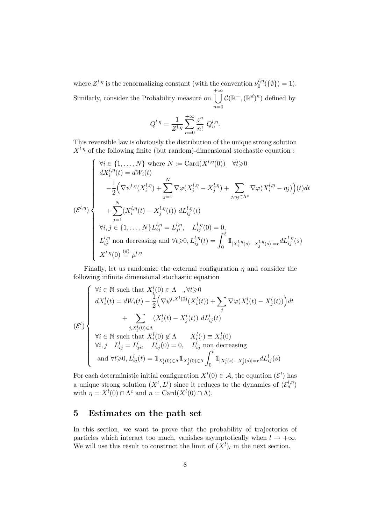where  $Z^{l,\eta}$  is the renormalizing constant (with the convention  $\nu_0^{l,\eta}$  $b_0^{t,\eta}(\{\emptyset\}) = 1).$ Similarly, consider the Probability measure on  $+ \infty$  $n=0$  $\mathcal{C}(\mathbb{R}^+,\mathbb{(R}^d)^n)$  defined by

$$
Q^{l,\eta} = \frac{1}{Z^{l,\eta}} \sum_{n=0}^{+\infty} \frac{z^n}{n!} Q_n^{l,\eta}.
$$

This reversible law is obviously the distribution of the unique strong solution  $X^{l,\eta}$  of the following finite (but random)-dimensional stochastic equation :

$$
(\mathcal{E}^{l,\eta})\begin{cases} \forall i \in \{1,\ldots,N\} \text{ where } N := \text{Card}(X^{l,\eta}(0)) \quad \forall t \geq 0\\ dX_i^{l,\eta}(t) = dW_i(t) \\ -\frac{1}{2} \Big( \nabla \psi^{l,\eta}(X_i^{l,\eta}) + \sum_{j=1}^N \nabla \varphi(X_i^{l,\eta} - X_j^{l,\eta}) + \sum_{j,\eta_j \in \Lambda^c} \nabla \varphi(X_i^{l,\eta} - \eta_j) \Big)(t) dt \\ + \sum_{j=1}^N (X_i^{l,\eta}(t) - X_j^{l,\eta}(t)) dL_{ij}^{l,\eta}(t) \\ \forall i, j \in \{1,\ldots,N\} L_{ij}^{l,\eta} = L_{ji}^{l,\eta}, \quad L_{ij}^{l,\eta}(0) = 0, \\ L_{ij}^{l,\eta} \text{ non decreasing and } \forall t \geq 0, L_{ij}^{l,\eta}(t) = \int_0^t \mathbb{1}_{[X_i^{l,\eta}(s) - X_j^{l,\eta}(s)] = r} dL_{ij}^{l,\eta}(s) \\ X^{l,\eta}(0) \stackrel{(d)}{=} \mu^{l,\eta} \end{cases}
$$

Finally, let us randomize the external configuration  $\eta$  and consider the following infinite dimensional stochastic equation

$$
(\mathcal{E}^l)
$$
\n
$$
\begin{cases}\n\forall i \in \mathbb{N} \text{ such that } X_i^l(0) \in \Lambda \quad, \forall t \geq 0 \\
dX_i^l(t) = dW_i(t) - \frac{1}{2} \Big( \nabla \psi^{l,X^l(0)}(X_i^l(t)) + \sum_j \nabla \varphi(X_i^l(t) - X_j^l(t)) \Big) dt \\
+ \sum_{j, X_j^l(0) \in \Lambda} (X_i^l(t) - X_j^l(t)) dL_{ij}^l(t) \\
\forall i \in \mathbb{N} \text{ such that } X_i^l(0) \notin \Lambda \quad X_i^l(\cdot) \equiv X_i^l(0) \\
\forall i, j \quad L_{ij}^l = L_{ji}^l, \quad L_{ij}^l(0) = 0, \quad L_{ij}^l \text{ non decreasing} \\
\text{and } \forall t \geq 0, L_{ij}^l(t) = \mathbb{I}_{X_i^l(0) \in \Lambda} \mathbb{I}_{X_j^l(0) \in \Lambda} \int_0^t \mathbb{I}_{|X_i^l(s) - X_j^l(s)| = r} dL_{ij}^l(s)\n\end{cases}
$$

For each deterministic initial configuration  $X^l(0) \in \mathcal{A}$ , the equation  $(\mathcal{E}^l)$  has a unique strong solution  $(X^l, L^l)$  since it reduces to the dynamics of  $(\mathcal{E}_n^{l, \eta})$ with  $\eta = X^l(0) \cap \Lambda^c$  and  $n = \text{Card}(X^l(0) \cap \Lambda)$ .

### 5 Estimates on the path set

In this section, we want to prove that the probability of trajectories of particles which interact too much, vanishes asymptotically when  $l \rightarrow +\infty$ . We will use this result to construct the limit of  $(X<sup>l</sup>)<sub>l</sub>$  in the next section.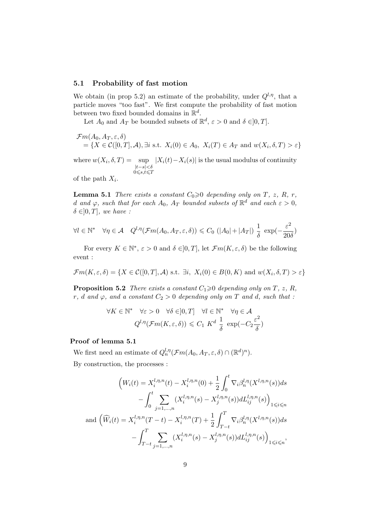#### 5.1 Probability of fast motion

We obtain (in prop 5.2) an estimate of the probability, under  $Q^{l,\eta}$ , that a particle moves "too fast". We first compute the probability of fast motion between two fixed bounded domains in  $\mathbb{R}^d$ .

Let  $A_0$  and  $A_T$  be bounded subsets of  $\mathbb{R}^d$ ,  $\varepsilon > 0$  and  $\delta \in ]0, T]$ .

$$
\mathcal{F}m(A_0, A_T, \varepsilon, \delta)
$$
  
= { $X \in \mathcal{C}([0, T], \mathcal{A}), \exists i \text{ s.t. } X_i(0) \in A_0, X_i(T) \in A_T \text{ and } w(X_i, \delta, T) > \varepsilon$ }

where  $w(X_i, \delta, T) = \text{sup}$  $|t-s|<\delta$  $0\leqslant s,t\leqslant T$  $|X_i(t)-X_i(s)|$  is the usual modulus of continuity

of the path  $X_i$ .

**Lemma 5.1** There exists a constant  $C_0 \geq 0$  depending only on T, z, R, r, d and  $\varphi$ , such that for each  $A_0$ ,  $A_T$  bounded subsets of  $\mathbb{R}^d$  and each  $\varepsilon > 0$ ,  $\delta \in ]0,T]$ , we have :

$$
\forall l \in \mathbb{N}^* \quad \forall \eta \in \mathcal{A} \quad Q^{l,\eta}(\mathcal{F}m(A_0, A_T, \varepsilon, \delta)) \leq C_0 \left( |A_0| + |A_T| \right) \frac{1}{\delta} \exp\left(-\frac{\varepsilon^2}{20\delta}\right)
$$

For every  $K \in \mathbb{N}^*, \varepsilon > 0$  and  $\delta \in ]0, T]$ , let  $\mathcal{F}m(K, \varepsilon, \delta)$  be the following event :

$$
\mathcal{F}m(K,\varepsilon,\delta) = \{ X \in \mathcal{C}([0,T],\mathcal{A}) \text{ s.t. } \exists i, X_i(0) \in B(0,K) \text{ and } w(X_i,\delta,T) > \varepsilon \}
$$

**Proposition 5.2** There exists a constant  $C_1 \geq 0$  depending only on T, z, R, r, d and  $\varphi$ , and a constant  $C_2 > 0$  depending only on T and d, such that :

$$
\forall K \in \mathbb{N}^* \quad \forall \varepsilon > 0 \quad \forall \delta \in ]0, T] \quad \forall l \in \mathbb{N}^* \quad \forall \eta \in \mathcal{A}
$$

$$
Q^{l, \eta}(\mathcal{F}m(K, \varepsilon, \delta)) \leq C_1 \, K^d \, \frac{1}{\delta} \, \exp(-C_2 \frac{\varepsilon^2}{\delta})
$$

### Proof of lemma 5.1

We first need an estimate of  $Q_n^{l,\eta}(\mathcal{F}m(A_0,A_T,\varepsilon,\delta)\cap(\mathbb{R}^d)^n)$ . By construction, the processes :

$$
\left(W_i(t) = X_i^{l,\eta,n}(t) - X_i^{l,\eta,n}(0) + \frac{1}{2} \int_0^t \nabla_i \beta_n^{l,\eta}(X^{l,\eta,n}(s)) ds - \int_0^t \sum_{j=1,\dots,n} (X_i^{l,\eta,n}(s) - X_j^{l,\eta,n}(s)) dL_{ij}^{l,\eta,n}(s) \right)_{1 \le i \le n}
$$
  
and 
$$
\left(\widehat{W}_i(t) = X_i^{l,\eta,n}(T-t) - X_i^{l,\eta,n}(T) + \frac{1}{2} \int_{T-t}^T \nabla_i \beta_n^{l,\eta}(X^{l,\eta,n}(s)) ds - \int_{T-t}^T \sum_{j=1,\dots,n} (X_i^{l,\eta,n}(s) - X_j^{l,\eta,n}(s)) dL_{ij}^{l,\eta,n}(s) \right)_{1 \le i \le n},
$$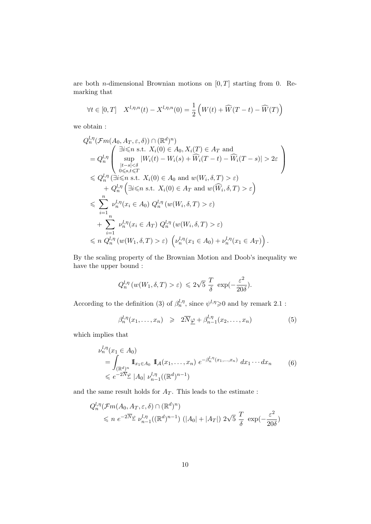are both *n*-dimensional Brownian motions on  $[0, T]$  starting from 0. Remarking that

$$
\forall t \in [0, T] \quad X^{l, \eta, n}(t) - X^{l, \eta, n}(0) = \frac{1}{2} \left( W(t) + \widehat{W}(T - t) - \widehat{W}(T) \right)
$$

we obtain :

$$
Q_n^{l,\eta}(\mathcal{F}m(A_0, A_T, \varepsilon, \delta)) \cap (\mathbb{R}^d)^n
$$
  
\n
$$
= Q_n^{l,\eta} \left( \begin{array}{c} \exists i \leq n \text{ s.t. } X_i(0) \in A_0, X_i(T) \in A_T \text{ and} \\ \sup_{|t-s| < \delta} |W_i(t) - W_i(s) + \widehat{W}_i(T-t) - \widehat{W}_i(T-s)| > 2\varepsilon \\ \sup_{0 \leq s,t \leq T} \end{array} \right)
$$
  
\n
$$
\leq Q_n^{l,\eta} (\exists i \leq n \text{ s.t. } X_i(0) \in A_0 \text{ and } w(W_i, \delta, T) > \varepsilon)
$$
  
\n
$$
+ Q_n^{l,\eta} (\exists i \leq n \text{ s.t. } X_i(0) \in A_T \text{ and } w(\widehat{W}_i, \delta, T) > \varepsilon)
$$
  
\n
$$
\leq \sum_{i=1}^n \nu_n^{l,\eta}(x_i \in A_0) Q_n^{l,\eta}(w(W_i, \delta, T) > \varepsilon)
$$
  
\n
$$
+ \sum_{i=1}^n \nu_n^{l,\eta}(x_i \in A_T) Q_n^{l,\eta}(w(W_i, \delta, T) > \varepsilon)
$$
  
\n
$$
\leq n Q_n^{l,\eta}(w(W_1, \delta, T) > \varepsilon) \left( \nu_n^{l,\eta}(x_1 \in A_0) + \nu_n^{l,\eta}(x_1 \in A_T) \right).
$$

By the scaling property of the Brownian Motion and Doob's inequality we have the upper bound :

$$
Q_n^{l,\eta} (w(W_1, \delta, T) > \varepsilon) \leq 2\sqrt{5} \frac{T}{\delta} \exp(-\frac{\varepsilon^2}{20\delta}).
$$

According to the definition (3) of  $\beta_n^{l,\eta}$ , since  $\psi^{l,\eta} \ge 0$  and by remark 2.1:

$$
\beta_n^{l,\eta}(x_1,\ldots,x_n) \geqslant 2\overline{N}_{\underline{\varphi}} + \beta_{n-1}^{l,\eta}(x_2,\ldots,x_n) \tag{5}
$$

which implies that

$$
\nu_n^{l,\eta}(x_1 \in A_0)
$$
\n
$$
= \int_{(\mathbb{R}^d)^n} \mathbb{I}_{x_1 \in A_0} \mathbb{I}_{\mathcal{A}}(x_1, \dots, x_n) e^{-\beta_n^{l,\eta}(x_1, \dots, x_n)} dx_1 \cdots dx_n
$$
\n
$$
\leq e^{-2N} \mathcal{L} |A_0| \nu_{n-1}^{l,\eta}((\mathbb{R}^d)^{n-1})
$$
\n(6)

and the same result holds for  $A_T$ . This leads to the estimate :

$$
Q_n^{l,\eta}(\mathcal{F}m(A_0, A_T, \varepsilon, \delta) \cap (\mathbb{R}^d)^n)
$$
  
\$\leqslant n e^{-2\overline{N}} \mathcal{L} \nu\_{n-1}^{l,\eta}((\mathbb{R}^d)^{n-1}) (\vert A\_0 \vert + \vert A\_T \vert) 2\sqrt{5} \frac{T}{\delta} \exp(-\frac{\varepsilon^2}{20\delta})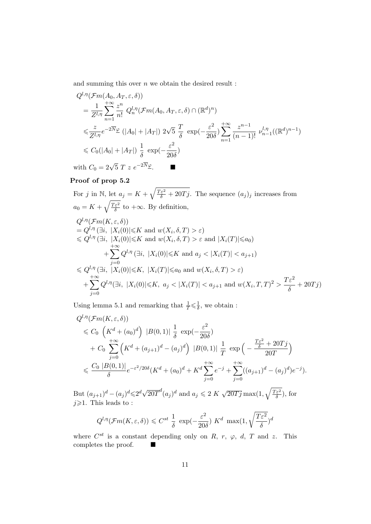and summing this over  $n$  we obtain the desired result :

$$
Q^{l,\eta}(\mathcal{F}m(A_0, A_T, \varepsilon, \delta))
$$
  
\n
$$
= \frac{1}{Z^{l,\eta}} \sum_{n=1}^{+\infty} \frac{z^n}{n!} Q_n^{l,\eta}(\mathcal{F}m(A_0, A_T, \varepsilon, \delta) \cap (\mathbb{R}^d)^n)
$$
  
\n
$$
\leq \frac{z}{Z^{l,\eta}} e^{-2\overline{N}\varphi} (|A_0| + |A_T|) 2\sqrt{5} \frac{T}{\delta} \exp(-\frac{\varepsilon^2}{20\delta}) \sum_{n=1}^{+\infty} \frac{z^{n-1}}{(n-1)!} \nu_{n-1}^{l,\eta}((\mathbb{R}^d)^{n-1})
$$
  
\n
$$
\leq C_0(|A_0| + |A_T|) \frac{1}{\delta} \exp(-\frac{\varepsilon^2}{20\delta})
$$
  
\nwith  $C_0 = 2\sqrt{5} T z e^{-2\overline{N}\varphi}$ .

#### Proof of prop 5.2

For 
$$
j
$$
 in N, let  $a_j = K + \sqrt{\frac{T\varepsilon^2}{\delta} + 20Tj}$ . The sequence  $(a_j)_j$  increases from  $a_0 = K + \sqrt{\frac{T\varepsilon^2}{\delta}}$  to  $+\infty$ . By definition,  $Q^{l,\eta}(\mathcal{F}m(K,\varepsilon,\delta)) = Q^{l,\eta}(\exists i, |X_i(0)| \leq K$  and  $w(X_i, \delta, T) > \varepsilon)$   $\leq Q^{l,\eta}(\exists i, |X_i(0)| \leq K$  and  $w(X_i, \delta, T) > \varepsilon$  and  $|X_i(T)| \leq a_0$   $+ \sum_{j=0}^{\infty} Q^{l,\eta}(\exists i, |X_i(0)| \leq K$  and  $a_j < |X_i(T)| < a_{j+1}$   $\leq Q^{l,\eta}(\exists i, |X_i(0)| \leq K, |X_i(T)| \leq a_0$  and  $w(X_i, \delta, T) > \varepsilon)$   $+ \sum_{j=0}^{\infty} Q^{l,\eta}(\exists i, |X_i(0)| \leq K, a_j < |X_i(T)| < a_{j+1}$  and  $w(X_i, T, T)^2 > \frac{T\varepsilon^2}{\delta} + 20Tj$ )

Using lemma 5.1 and remarking that  $\frac{1}{T} \leq \frac{1}{\delta}$  $\frac{1}{\delta}$ , we obtain :

$$
Q^{l,\eta}(\mathcal{F}m(K,\varepsilon,\delta))
$$
  
\$\leqslant C\_0 \left(K^d + (a\_0)^d\right) |B(0,1)| \frac{1}{\delta} \exp\left(-\frac{\varepsilon^2}{20\delta}\right)\$  
\$+ C\_0 \sum\_{j=0}^{+\infty} \left(K^d + (a\_{j+1})^d - (a\_j)^d\right) |B(0,1)| \frac{1}{T} \exp\left(-\frac{\frac{T\varepsilon^2}{\delta} + 20Tj}{20T}\right)\$  
\$\leqslant \frac{C\_0 |B(0,1)|}{\delta} e^{-\varepsilon^2/20\delta} (K^d + (a\_0)^d + K^d \sum\_{j=0}^{+\infty} e^{-j} + \sum\_{j=0}^{+\infty} ((a\_{j+1})^d - (a\_j)^d) e^{-j}).

But  $(a_{j+1})^d - (a_j)^d \leq 2^d \sqrt{ }$  $\overline{20T}^d(a_j)^d$  and  $a_j \leqslant 2 \ K \ \sqrt{3}$  $\sqrt{20Tj}\max(1,\sqrt{\frac{T\varepsilon^2}{\delta}})$  $\frac{\varepsilon^2}{\delta}$ ), for  $j\!\!\geqslant\!\!1.$  This leads to :

$$
Q^{l,\eta}(\mathcal{F}m(K,\varepsilon,\delta)) \leq C^{st} \frac{1}{\delta} \exp\left(-\frac{\varepsilon^2}{20\delta}\right) K^d \max(1, \sqrt{\frac{T\varepsilon^2}{\delta}})^d
$$

where  $C^{st}$  is a constant depending only on R, r,  $\varphi$ , d, T and z. This completes the proof.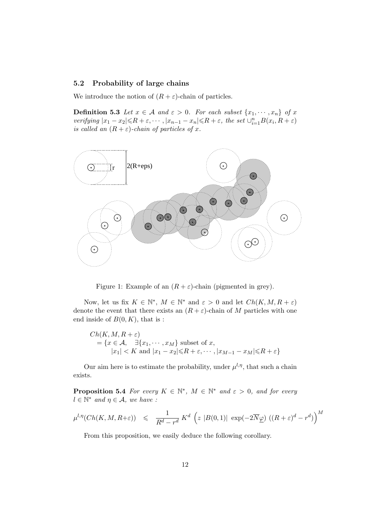#### 5.2 Probability of large chains

We introduce the notion of  $(R + \varepsilon)$ -chain of particles.

**Definition 5.3** Let  $x \in A$  and  $\varepsilon > 0$ . For each subset  $\{x_1, \dots, x_n\}$  of x verifying  $|x_1-x_2|\leqslant R+\varepsilon, \cdots, |x_{n-1}-x_n|\leqslant R+\varepsilon$ , the set  $\cup_{i=1}^n B(x_i, R+\varepsilon)$ is called an  $(R + \varepsilon)$ -chain of particles of x.



Figure 1: Example of an  $(R + \varepsilon)$ -chain (pigmented in grey).

Now, let us fix  $K \in \mathbb{N}^*$ ,  $M \in \mathbb{N}^*$  and  $\varepsilon > 0$  and let  $Ch(K, M, R + \varepsilon)$ denote the event that there exists an  $(R + \varepsilon)$ -chain of M particles with one end inside of  $B(0, K)$ , that is :

$$
Ch(K, M, R + \varepsilon)
$$
  
= {x \in A,  $\exists {x_1, \dots, x_M}$  subset of x,  
 $|x_1| < K$  and  $|x_1 - x_2| \le R + \varepsilon, \dots, |x_{M-1} - x_M| \le R + \varepsilon$ }

Our aim here is to estimate the probability, under  $\mu^{l,\eta}$ , that such a chain exists.

**Proposition 5.4** For every  $K \in \mathbb{N}^*$ ,  $M \in \mathbb{N}^*$  and  $\varepsilon > 0$ , and for every  $l \in \mathbb{N}^*$  and  $\eta \in \mathcal{A}$ , we have :

$$
\mu^{l,\eta}(Ch(K,M,R+\varepsilon)) \leq \frac{1}{R^d-r^d} K^d \left( z |B(0,1)| \exp(-2\overline{N}\underline{\varphi}) \left( (R+\varepsilon)^d-r^d \right) \right)^M
$$

From this proposition, we easily deduce the following corollary.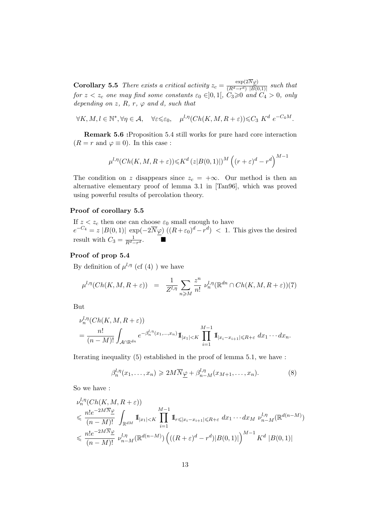**Corollary 5.5** There exists a critical activity  $z_c = \frac{\exp(2N\varphi)}{(B^d - r^d) + B(0)}$  $\frac{exp(2N\varphi)}{(R^d-r^d) |B(0,1)|}$  such that for  $z < z_c$  one may find some constants  $\varepsilon_0 \in ]0,1[$ ,  $C_3 \geqslant 0$  and  $C_4 > 0$ , only depending on  $z$ ,  $R$ ,  $r$ ,  $\varphi$  and  $d$ , such that

$$
\forall K, M, l \in \mathbb{N}^*, \forall \eta \in \mathcal{A}, \quad \forall \varepsilon \leqslant \varepsilon_0, \quad \mu^{l, \eta}(Ch(K, M, R + \varepsilon)) \leqslant C_3 K^d \ e^{-C_4 M}.
$$

Remark 5.6 :Proposition 5.4 still works for pure hard core interaction  $(R = r \text{ and } \varphi \equiv 0)$ . In this case :

$$
\mu^{l,\eta}(Ch(K,M,R+\varepsilon))\leqslant K^d\left(z|B(0,1)|\right)^M\left((r+\varepsilon)^d-r^d\right)^{M-1}
$$

The condition on z disappears since  $z_c = +\infty$ . Our method is then an alternative elementary proof of lemma 3.1 in [Tan96], which was proved using powerful results of percolation theory.

#### Proof of corollary 5.5

If  $z < z_c$  then one can choose  $\varepsilon_0$  small enough to have  $e^{-C_4} = z |B(0,1)| \exp(-2\overline{N}\varphi) ((R+\varepsilon_0)^d - r^d) < 1$ . This gives the desired result with  $C_3 = \frac{1}{R^d - r^d}$ .

### Proof of prop 5.4

By definition of  $\mu^{l,\eta}$  (cf (4)) we have

$$
\mu^{l,\eta}(Ch(K,M,R+\varepsilon)) = \frac{1}{Z^{l,\eta}} \sum_{n \geqslant M} \frac{z^n}{n!} \, \nu_n^{l,\eta}(\mathbb{R}^{dn} \cap Ch(K,M,R+\varepsilon))(7)
$$

But

$$
\nu_n^{l,\eta}(Ch(K,M,R+\varepsilon))
$$
  
= 
$$
\frac{n!}{(n-M)!} \int_{A \cap \mathbb{R}^{dn}} e^{-\beta_n^{l,\eta}(x_1,\ldots,x_n)} \mathbb{1}_{|x_1| < K} \prod_{i=1}^{M-1} \mathbb{1}_{|x_i - x_{i+1}| \leq R + \varepsilon} dx_1 \cdots dx_n.
$$

Iterating inequality (5) established in the proof of lemma 5.1, we have :

$$
\beta_n^{l,\eta}(x_1,\ldots,x_n) \geqslant 2M \overline{N}_{\underline{\varphi}} + \beta_{n-M}^{l,\eta}(x_{M+1},\ldots,x_n). \tag{8}
$$

So we have :

l,η

$$
\nu_n^{l,\eta}(Ch(K,M,R+\varepsilon))
$$
\n
$$
\leqslant \frac{n!e^{-2M\overline{N}\varphi}}{(n-M)!} \int_{\mathbb{R}^{dM}} \mathbb{1}_{|x_1|\n
$$
\leqslant \frac{n!e^{-2M\overline{N}\varphi}}{(n-M)!} \nu_{n-M}^{l,\eta}(\mathbb{R}^{d(n-M)}) \left(((R+\varepsilon)^d - r^d)|B(0,1)|\right)^{M-1} K^d |B(0,1)|
$$
$$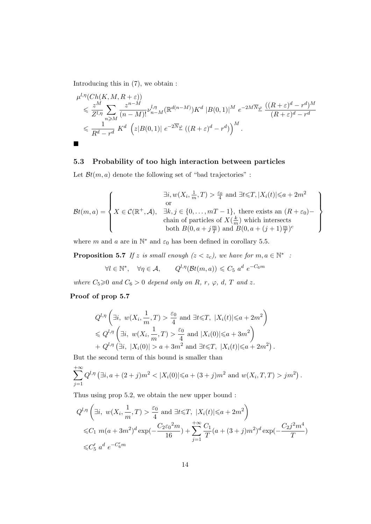Introducing this in (7), we obtain :

$$
\mu^{l,\eta}(Ch(K, M, R + \varepsilon))
$$
\n
$$
\leq \frac{z^M}{Z^{l,\eta}} \sum_{n \geq M} \frac{z^{n-M}}{(n-M)!} \nu_{n-M}^{l,\eta}(\mathbb{R}^{d(n-M)}) K^d \left|B(0,1)\right|^M e^{-2M \overline{N}\underline{\varphi}} \frac{((R+\varepsilon)^d - r^d)^M}{(R+\varepsilon)^d - r^d}
$$
\n
$$
\leq \frac{1}{R^d - r^d} K^d \left(z|B(0,1)| e^{-2\overline{N}\underline{\varphi}} \left((R+\varepsilon)^d - r^d\right)\right)^M.
$$

### 5.3 Probability of too high interaction between particles

Let  $\mathcal{B}t(m, a)$  denote the following set of "bad trajectories" :

$$
\mathcal{B}t(m,a) = \left\{ X \in \mathcal{C}(\mathbb{R}^+, \mathcal{A}), \quad \exists k, j \in \{0, \dots, mT - 1\}, \text{ there exists an } (R + \varepsilon_0) - \text{ chain of particles of } X(\frac{k}{m}) \text{ which intersects both } B(0, a + j\frac{m}{T}) \text{ and } B(0, a + (j + 1)\frac{m}{T})^c \right\}
$$

where m and a are in  $\mathbb{N}^*$  and  $\varepsilon_0$  has been defined in corollary 5.5.

**Proposition 5.7** If z is small enough  $(z < z_c)$ , we have for  $m, a \in \mathbb{N}^*$  :

$$
\forall l \in \mathbb{N}^*, \quad \forall \eta \in \mathcal{A}, \qquad Q^{l, \eta}(\mathcal{B}t(m, a)) \leq C_5 \ a^d \ e^{-C_6 m}
$$

where  $C_5 \geq 0$  and  $C_6 > 0$  depend only on R, r,  $\varphi$ , d, T and z.

### Proof of prop 5.7

$$
Q^{l,\eta}\left(\exists i, w(X_i, \frac{1}{m}, T) > \frac{\varepsilon_0}{4} \text{ and } \exists t \leq T, |X_i(t)| \leq a + 2m^2\right)
$$
  
\$\leq Q^{l,\eta}\left(\exists i, w(X\_i, \frac{1}{m}, T) > \frac{\varepsilon\_0}{4} \text{ and } |X\_i(0)| \leq a + 3m^2\right)\$  
+ Q^{l,\eta}\left(\exists i, |X\_i(0)| > a + 3m^2 \text{ and } \exists t \leq T, |X\_i(t)| \leq a + 2m^2\right).

But the second term of this bound is smaller than

$$
\sum_{j=1}^{+\infty} Q^{l,\eta} \left( \exists i, a + (2+j)m^2 < |X_i(0)| \leq a + (3+j)m^2 \text{ and } w(X_i, T, T) > jm^2 \right).
$$

Thus using prop 5.2, we obtain the new upper bound :

$$
Q^{l,\eta} \left( \exists i, w(X_i, \frac{1}{m}, T) > \frac{\varepsilon_0}{4} \text{ and } \exists t \le T, |X_i(t)| \le a + 2m^2 \right)
$$
  

$$
\le C_1 m(a + 3m^2)^d \exp(-\frac{C_2 \varepsilon_0^2 m}{16}) + \sum_{j=1}^{+\infty} \frac{C_1}{T} (a + (3+j)m^2)^d \exp(-\frac{C_2 j^2 m^4}{T})
$$
  

$$
\le C_5' a^d e^{-C_6' m}
$$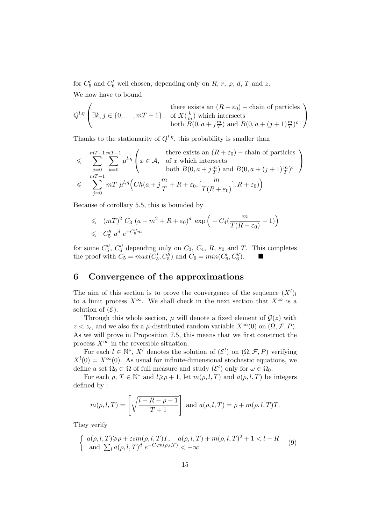for  $C'_5$  and  $C'_6$  well chosen, depending only on R, r,  $\varphi$ , d, T and z. We now have to bound

$$
Q^{l,\eta} \left( \exists k, j \in \{0, \dots, mT - 1\}, \begin{array}{c} \text{there exists an } (R + \varepsilon_0) - \text{chain of particles} \\ \text{for } K(\frac{k}{m}) \text{ which intersects} \\ \text{both } B(0, a + j\frac{m}{T}) \text{ and } B(0, a + (j+1)\frac{m}{T})^c \end{array} \right)
$$

Thanks to the stationarity of  $Q^{l,\eta}$ , this probability is smaller than

$$
\leq \sum_{j=0}^{mT-1} \sum_{k=0}^{mT-1} \mu^{l,\eta} \left( x \in \mathcal{A}, \text{ of } x \text{ which intersects both } B(0, a+j\frac{m}{T}) \text{ and } B(0, a+(j+1)\frac{m}{T})^c \right)
$$
  

$$
\leq \sum_{j=0}^{mT-1} mT \mu^{l,\eta} \left( Ch(a+j\frac{m}{T}+R+\varepsilon_0, [\frac{m}{T(R+\varepsilon_0)}], R+\varepsilon_0) \right)
$$

Because of corollary 5.5, this is bounded by

$$
\leq (mT)^2 C_3 (a + m^2 + R + \varepsilon_0)^d \exp \left( -C_4(\frac{m}{T(R + \varepsilon_0)} - 1) \right)
$$
  

$$
\leq C_5'' a^d e^{-C_6'' m}
$$

for some  $C_5''$ ,  $C_6''$  depending only on  $C_3$ ,  $C_4$ ,  $R$ ,  $\varepsilon_0$  and  $T$ . This completes the proof with  $C_5 = max(C'_5, C''_5)$  and  $C_6 = min(C'_6, C''_6)$ .

## 6 Convergence of the approximations

The aim of this section is to prove the convergence of the sequence  $(X^l)$ to a limit process  $X^{\infty}$ . We shall check in the next section that  $X^{\infty}$  is a solution of  $(\mathcal{E})$ .

Through this whole section,  $\mu$  will denote a fixed element of  $\mathcal{G}(z)$  with  $z < z_c$ , and we also fix a *µ*-distributed random variable  $X^{\infty}(0)$  on  $(\Omega, \mathcal{F}, P)$ . As we will prove in Proposition 7.5, this means that we first construct the process  $X^{\infty}$  in the reversible situation.

For each  $l \in \mathbb{N}^*, X^l$  denotes the solution of  $(\mathcal{E}^l)$  on  $(\Omega, \mathcal{F}, P)$  verifying  $X^{l}(0) = X^{\infty}(0)$ . As usual for infinite-dimensional stochastic equations, we define a set  $\Omega_0 \subset \Omega$  of full measure and study  $(\mathcal{E}^l)$  only for  $\omega \in \Omega_0$ .

For each  $\rho, T \in \mathbb{N}^*$  and  $l \geq \rho + 1$ , let  $m(\rho, l, T)$  and  $a(\rho, l, T)$  be integers defined by :

$$
m(\rho, l, T) = \left[\sqrt{\frac{l - R - \rho - 1}{T + 1}}\right] \text{ and } a(\rho, l, T) = \rho + m(\rho, l, T)T.
$$

They verify

$$
\begin{cases} a(\rho, l, T) \geqslant \rho + \varepsilon_0 m(\rho, l, T)T, \quad a(\rho, l, T) + m(\rho, l, T)^2 + 1 < l - R \\ \text{and } \sum_l a(\rho, l, T)^d \ e^{-C_6 m(\rho, l, T)} < +\infty \end{cases} \tag{9}
$$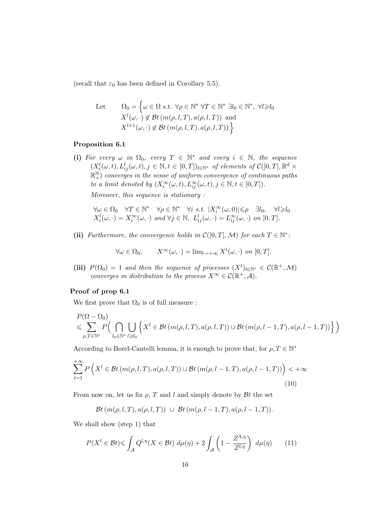(recall that  $\varepsilon_0$  has been defined in Corollary 5.5).

Let 
$$
\Omega_0 = \left\{ \omega \in \Omega \text{ s.t. } \forall \rho \in \mathbb{N}^* \ \forall T \in \mathbb{N}^* \ \exists l_0 \in \mathbb{N}^*, \ \forall l \ge l_0 \ X^l(\omega, \cdot) \notin \mathcal{B}t \ (m(\rho, l, T), a(\rho, l, T)) \text{ and } \ X^{l+1}(\omega, \cdot) \notin \mathcal{B}t \ (m(\rho, l, T), a(\rho, l, T)) \ \right\}
$$

#### Proposition 6.1

(i) For every  $\omega$  in  $\Omega_0$ , every  $T \in \mathbb{N}^*$  and every  $i \in \mathbb{N}$ , the sequence  $(X_i^l(\omega, t), L_{ij}^l(\omega, t), j \in \mathbb{N}, t \in [0,T])_{l \in \mathbb{N}^*}$  of elements of  $C([0,T], \mathbb{R}^d \times$  $\mathbb{R}^\mathbb{N}_+$ ) converges in the sense of uniform convergence of continuous paths to a limit denoted by  $(X_i^{\infty}(\omega, t), L_{ij}^{\infty}(\omega, t), j \in \mathbb{N}, t \in [0, T]).$ 

Moreover, this sequence is stationary :

$$
\forall \omega \in \Omega_0 \quad \forall T \in \mathbb{N}^* \quad \forall \rho \in \mathbb{N}^* \quad \forall i \ s.t. \ |X_i^{\infty}(\omega, 0)| \leq \rho \quad \exists l_0, \quad \forall l \geq l_0
$$
  

$$
X_i^l(\omega, \cdot) = X_i^{\infty}(\omega, \cdot) \text{ and } \forall j \in \mathbb{N}, \ L_{ij}^l(\omega, \cdot) = L_{ij}^{\infty}(\omega, \cdot) \text{ on } [0, T].
$$

(ii) Furthermore, the convergence holds in  $\mathcal{C}([0,T],\mathcal{M})$  for each  $T \in \mathbb{N}^*$ :

$$
\forall \omega \in \Omega_0, \qquad X^{\infty}(\omega, \cdot) = \lim_{l \to +\infty} X^l(\omega, \cdot) \text{ on } [0, T].
$$

(iii)  $P(\Omega_0) = 1$  and then the sequence of processes  $(X^l)_{l \in \mathbb{N}^*} \in C(\mathbb{R}^+, \mathcal{M})$ converges in distribution to the process  $X^{\infty} \in \mathcal{C}(\mathbb{R}^+, \mathcal{A})$ .

#### Proof of prop 6.1

We first prove that  $\Omega_0$  is of full measure :

$$
\begin{aligned}\nP(\Omega - \Omega_0) &\leq \sum_{\rho, T \in \mathbb{N}^*} P\Big(\bigcap_{l_0 \in \mathbb{N}^*} \bigcup_{l_2 \in \mathbb{N}^*} \Big\{ X^l \in \mathcal{B}t \left( m(\rho, l, T), a(\rho, l, T) \right) \cup \mathcal{B}t \left( m(\rho, l - 1, T), a(\rho, l - 1, T) \right) \Big\} \Big)\n\end{aligned}
$$

According to Borel-Cantelli lemma, it is enough to prove that, for  $\rho, T \in \mathbb{N}^*$ 

$$
\sum_{l=1}^{+\infty} P\left(X^l \in \mathcal{B}t\left(m(\rho, l, T), a(\rho, l, T)\right) \cup \mathcal{B}t\left(m(\rho, l-1, T), a(\rho, l-1, T)\right)\right) < +\infty
$$
\n(10)

From now on, let us fix  $\rho$ , T and l and simply denote by Bt the set

$$
\mathcal{B}t(m(\rho,l,T),a(\rho,l,T)) \ \cup \ \mathcal{B}t(m(\rho,l-1,T),a(\rho,l-1,T)).
$$

We shall show (step 1) that

$$
P(X^{l} \in \mathcal{B}t) \leq \int_{\mathcal{A}} Q^{l,\eta}(X \in \mathcal{B}t) \ d\mu(\eta) + 2 \int_{\mathcal{A}} \left(1 - \frac{Z^{\Lambda,\eta}}{Z^{l,\eta}}\right) \ d\mu(\eta) \tag{11}
$$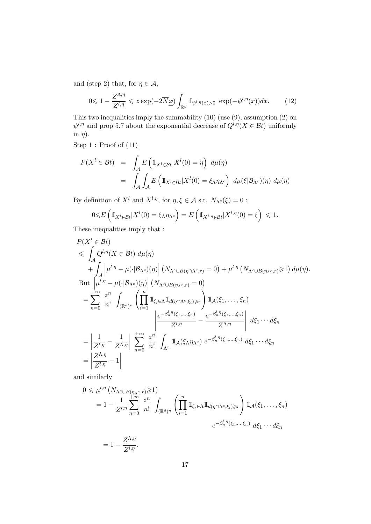and (step 2) that, for  $\eta \in \mathcal{A}$ ,

$$
0 \leq 1 - \frac{Z^{\Lambda, \eta}}{Z^{l, \eta}} \leqslant z \exp(-2\overline{N}\underline{\varphi}) \int_{\mathbb{R}^d} \mathbb{I}_{\psi^{l, \eta}(x) > 0} \exp(-\psi^{l, \eta}(x)) dx. \tag{12}
$$

This two inequalities imply the summability  $(10)$  (use  $(9)$ , assumption  $(2)$  on  $\psi^{l,\eta}$  and prop 5.7 about the exponential decrease of  $Q^{l,\eta}(X \in \mathcal{B}t)$  uniformly in  $\eta$ ).

Step 1 : Proof of (11)

$$
P(X^{l} \in \mathcal{B}t) = \int_{\mathcal{A}} E\left(\mathbb{1}_{X^{l} \in \mathcal{B}t}|X^{l}(0) = \eta\right) d\mu(\eta)
$$
  
= 
$$
\int_{\mathcal{A}} \int_{\mathcal{A}} E\left(\mathbb{1}_{X^{l} \in \mathcal{B}t}|X^{l}(0) = \xi_{\Lambda} \eta_{\Lambda^{c}}\right) d\mu(\xi|\mathcal{B}_{\Lambda^{c}})(\eta) d\mu(\eta)
$$

By definition of  $X^l$  and  $X^{l,\eta}$ , for  $\eta, \xi \in \mathcal{A}$  s.t.  $N_{\Lambda}(\xi) = 0$ :

$$
0 \leq E\left(\mathbb{I}_{X^l \in \mathcal{B}t} | X^l(0) = \xi_\Lambda \eta_{\Lambda^c}\right) = E\left(\mathbb{I}_{X^l, \eta \in \mathcal{B}t} | X^{l, \eta}(0) = \xi\right) \leq 1.
$$

These inequalities imply that :

$$
P(X^{l} \in \mathcal{B}t)
$$
  
\n
$$
\leq \int_{\mathcal{A}} Q^{l,\eta}(X \in \mathcal{B}t) d\mu(\eta)
$$
  
\n
$$
+ \int_{\mathcal{A}} \left| \mu^{l,\eta} - \mu(\cdot|\mathcal{B}_{\Lambda^{c}})(\eta) \right| (N_{\Lambda^{c} \cup B(\eta \cap \Lambda^{c},r)} = 0) + \mu^{l,\eta} (N_{\Lambda^{c} \cup B(\eta_{\Lambda^{c},r})} \geq 1) d\mu(\eta).
$$
  
\nBut  $\left| \mu^{l,\eta} - \mu(\cdot|\mathcal{B}_{\Lambda^{c}})(\eta) \right| (N_{\Lambda^{c} \cup B(\eta_{\Lambda^{c},r})} = 0)$   
\n
$$
= \sum_{n=0}^{+\infty} \frac{z^{n}}{n!} \int_{(\mathbb{R}^{d})^{n}} \left( \prod_{i=1}^{n} \mathbb{I}_{\xi_{i} \in \Lambda} \mathbb{I}_{d(\eta \cap \Lambda^{c},\xi_{i}) \geq r} \right) \mathbb{I}_{\mathcal{A}}(\xi_{1}, \dots, \xi_{n})
$$
  
\n
$$
= \left| \frac{1}{Z^{l,\eta}} - \frac{1}{Z^{\Lambda,\eta}} \right| \sum_{n=0}^{+\infty} \frac{z^{n}}{n!} \int_{\Lambda^{n}} \mathbb{I}_{\mathcal{A}}(\xi_{\Lambda} \eta_{\Lambda^{c}}) e^{-\beta_{n}^{l,\eta}(\xi_{1}, \dots, \xi_{n})} d\xi_{1} \cdots d\xi_{n}
$$
  
\n
$$
= \left| \frac{Z^{\Lambda,\eta}}{Z^{\Lambda,\eta}} - 1 \right|
$$

and similarly

$$
0 \leq \mu^{l,\eta} \left( N_{\Lambda^c \cup B(\eta_{\Lambda^c}, r)} \geq 1 \right)
$$
  
=  $1 - \frac{1}{Z^{l,\eta}} \sum_{n=0}^{+\infty} \frac{z^n}{n!} \int_{(\mathbb{R}^d)^n} \left( \prod_{i=1}^n \mathbb{I}_{\xi_i \in \Lambda} \mathbb{I}_{d(\eta \cap \Lambda^c, \xi_i) \geq r} \right) \mathbb{I}_{\mathcal{A}}(\xi_1, \dots, \xi_n)$   
 $e^{-\beta_n^{l,\eta}(\xi_1, \dots, \xi_n)} d\xi_1 \cdots d\xi_n$ 

$$
=1-\frac{Z^{\Lambda,\eta}}{Z^{l,\eta}}.
$$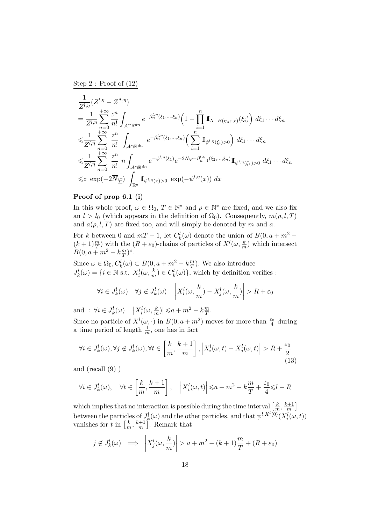Step 2 : Proof of (12)

$$
\frac{1}{Z^{l,\eta}}(Z^{l,\eta}-Z^{\Lambda,\eta})
$$
\n
$$
=\frac{1}{Z^{l,\eta}}\sum_{n=0}^{+\infty}\frac{z^n}{n!}\int_{\mathcal{A}\cap\mathbb{R}^{dn}}e^{-\beta_n^{l,\eta}(\xi_1,\ldots,\xi_n)}\left(1-\prod_{i=1}^n\mathbb{I}_{\Lambda-B(\eta_{\Lambda^c},r)}(\xi_i)\right)d\xi_1\cdots d\xi_n
$$
\n
$$
\leqslant \frac{1}{Z^{l,\eta}}\sum_{n=0}^{+\infty}\frac{z^n}{n!}\int_{\mathcal{A}\cap\mathbb{R}^{dn}}e^{-\beta_n^{l,\eta}(\xi_1,\ldots,\xi_n)}\left(\sum_{i=1}^n\mathbb{I}_{\psi^{l,\eta}(\xi_i)>0}\right)d\xi_1\cdots d\xi_n
$$
\n
$$
\leqslant \frac{1}{Z^{l,\eta}}\sum_{n=0}^{+\infty}\frac{z^n}{n!}n\int_{\mathcal{A}\cap\mathbb{R}^{dn}}e^{-\psi^{l,\eta}(\xi_1)}e^{-2\overline{N}}\underline{\varphi}\text{-}\beta_{n-1}^{l,\eta}(\xi_2,\ldots,\xi_n)}\mathbb{I}_{\psi^{l,\eta}(\xi_1)>0}d\xi_1\cdots d\xi_n
$$
\n
$$
\leqslant z\exp(-2\overline{N}\underline{\varphi})\int_{\mathbb{R}^d}\mathbb{I}_{\psi^{l,\eta}(x)>0}\exp(-\psi^{l,\eta}(x))\,dx
$$

### Proof of prop 6.1 (i)

In this whole proof,  $\omega \in \Omega_0$ ,  $T \in \mathbb{N}^*$  and  $\rho \in \mathbb{N}^*$  are fixed, and we also fix an  $l > l_0$  (which appears in the definition of  $\Omega_0$ ). Consequently,  $m(\rho, l, T)$ and  $a(\rho, l, T)$  are fixed too, and will simply be denoted by m and a.

For k between 0 and  $mT - 1$ , let  $C_k^l(\omega)$  denote the union of  $B(0, a + m^2 - \mathbb{R})$  $(k+1)\frac{m}{T}$  with the  $(R+\varepsilon_0)$ -chains of particles of  $X^l(\omega,\frac{k}{m})$  which intersect  $B(0, a + m^2 - k \frac{m}{T})$  $\frac{m}{T}$ )<sup>c</sup>.

Since  $\omega \in \Omega_0, C_k^l(\omega) \subset B(0, a+m^2-k\frac{m}{T})$  $\frac{m}{T}$ ). We also introduce  $J_k^l(\omega) = \{i \in \mathbb{N} \text{ s.t. } X_i^l(\omega, \frac{k}{m}) \in C_k^l(\omega)\},\$  which by definition verifies :

$$
\forall i \in J_k^l(\omega) \quad \forall j \notin J_k^l(\omega) \quad \left| X_i^l(\omega, \frac{k}{m}) - X_j^l(\omega, \frac{k}{m}) \right| > R + \varepsilon_0
$$

and :  $\forall i \in J_k^l(\omega) \quad |X_i^l(\omega, \frac{k}{m})| \leq a + m^2 - k \frac{m}{T}$  $\frac{m}{T}.$ 

Since no particle of  $X^l(\omega, \cdot)$  in  $B(0, a+m^2)$  moves for more than  $\frac{\varepsilon_0}{4}$  during a time period of length  $\frac{1}{m}$ , one has in fact

$$
\forall i \in J_k^l(\omega), \forall j \notin J_k^l(\omega), \forall t \in \left[\frac{k}{m}, \frac{k+1}{m}\right], \left|X_i^l(\omega, t) - X_j^l(\omega, t)\right| > R + \frac{\varepsilon_0}{2} \tag{13}
$$

and (recall (9) )

$$
\forall i \in J_k^l(\omega), \quad \forall t \in \left[\frac{k}{m}, \frac{k+1}{m}\right], \quad \left|X_i^l(\omega, t)\right| \le a + m^2 - k\frac{m}{T} + \frac{\varepsilon_0}{4} \le l - R
$$

which implies that no interaction is possible during the time interval  $\left[\frac{k}{n}\right]$  $\frac{k}{m}$ ,  $\frac{k+1}{m}$  $\frac{n+1}{m}$ between the particles of  $J_k^l(\omega)$  and the other particles, and that  $\psi^{l,X^l(0)}(X_i^l(\omega,t))$ vanishes for t in  $\left[\frac{k}{n}\right]$  $\frac{k}{m}$ ,  $\frac{k+1}{m}$  $\frac{n+1}{m}$ . Remark that

$$
j \notin J_k^l(\omega) \implies \left| X_j^l(\omega, \frac{k}{m}) \right| > a + m^2 - (k+1)\frac{m}{T} + (R + \varepsilon_0)
$$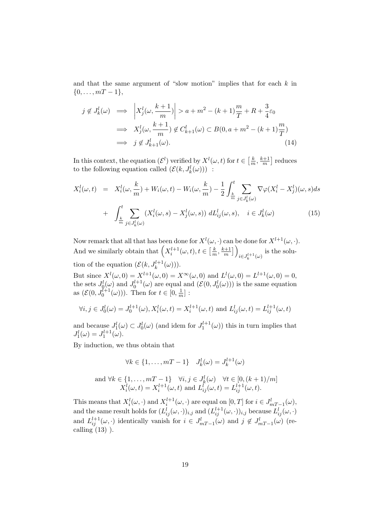and that the same argument of "slow motion" implies that for each  $k$  in  $\{0, \ldots, mT-1\},\$ 

$$
j \notin J_k^l(\omega) \implies \left| X_j^l(\omega, \frac{k+1}{m}) \right| > a + m^2 - (k+1)\frac{m}{T} + R + \frac{3}{4}\varepsilon_0
$$
  

$$
\implies X_j^l(\omega, \frac{k+1}{m}) \notin C_{k+1}^l(\omega) \subset B(0, a + m^2 - (k+1)\frac{m}{T})
$$
  

$$
\implies j \notin J_{k+1}^l(\omega).
$$
 (14)

In this context, the equation  $(\mathcal{E}^l)$  verified by  $X^l(\omega, t)$  for  $t \in \left[\frac{k}{n}\right]$  $\frac{k}{m}$ ,  $\frac{k+1}{m}$  $\frac{n+1}{m}$  reduces to the following equation called  $(\mathcal{E}(k, J_k^l(\omega)))$ :

$$
X_i^l(\omega, t) = X_i^l(\omega, \frac{k}{m}) + W_i(\omega, t) - W_i(\omega, \frac{k}{m}) - \frac{1}{2} \int_{\frac{k}{m}}^t \sum_{j \in J_k^l(\omega)} \nabla \varphi (X_i^l - X_j^l)(\omega, s) ds
$$
  
+ 
$$
\int_{\frac{k}{m}}^t \sum_{j \in J_k^l(\omega)} (X_i^l(\omega, s) - X_j^l(\omega, s)) dL_{ij}^l(\omega, s), \quad i \in J_k^l(\omega)
$$
(15)

Now remark that all that has been done for  $X^{l}(\omega, \cdot)$  can be done for  $X^{l+1}(\omega, \cdot)$ . And we similarly obtain that  $\left(X_i^{l+1}(\omega, t), t \in \left[\frac{k}{n}\right]\right)$  $\frac{k}{m}$ ,  $\frac{k+1}{m}$  $\left(\frac{m+1}{m}\right)$  $i \in J_k^{l+1}(\omega)$  is the solution of the equation  $(\mathcal{E}(k, J_k^{l+1}(\omega)))$ .

But since  $X^{l}(\omega, 0) = X^{l+1}(\omega, 0) = X^{\infty}(\omega, 0)$  and  $L^{l}(\omega, 0) = L^{l+1}(\omega, 0) = 0$ , the sets  $J_0^l(\omega)$  and  $J_0^{l+1}(\omega)$  are equal and  $(\mathcal{E}(0, J_0^l(\omega)))$  is the same equation as  $(\mathcal{E}(0, J_0^{l+1}(\omega)))$ . Then for  $t \in [0, \frac{1}{n}]$  $\frac{1}{m}]$  :

$$
\forall i, j \in J_0^l(\omega) = J_0^{l+1}(\omega), X_i^l(\omega, t) = X_i^{l+1}(\omega, t)
$$
 and  $L_{ij}^l(\omega, t) = L_{ij}^{l+1}(\omega, t)$ 

and because  $J_1^l(\omega) \subset J_0^l(\omega)$  (and idem for  $J_1^{l+1}(\omega)$ ) this in turn implies that  $J_1^l(\omega) = J_1^{l+1}(\omega).$ 

By induction, we thus obtain that

$$
\forall k \in \{1, \ldots, mT - 1\} \quad J_k^l(\omega) = J_k^{l+1}(\omega)
$$

and 
$$
\forall k \in \{1, ..., mT - 1\}
$$
  $\forall i, j \in J_k^l(\omega)$   $\forall t \in [0, (k+1)/m]$   
 $X_i^l(\omega, t) = X_i^{l+1}(\omega, t)$  and  $L_{ij}^l(\omega, t) = L_{ij}^{l+1}(\omega, t)$ .

This means that  $X_i^l(\omega, \cdot)$  and  $X_i^{l+1}(\omega, \cdot)$  are equal on  $[0, T]$  for  $i \in J_{mT-1}^l(\omega)$ , and the same result holds for  $(L_{ij}^l(\omega, \cdot))_{i,j}$  and  $(L_{ij}^{l+1}(\omega, \cdot))_{i,j}$  because  $L_{ij}^l(\omega, \cdot)$ and  $L_{ij}^{l+1}(\omega, \cdot)$  identically vanish for  $i \in J_{mT-1}^l(\omega)$  and  $j \notin J_{mT-1}^l(\omega)$  (recalling  $(13)$ ).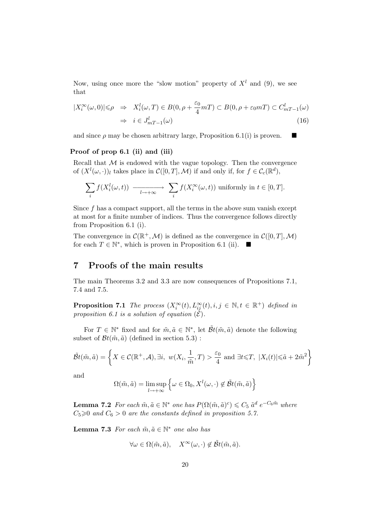Now, using once more the "slow motion" property of  $X<sup>l</sup>$  and (9), we see that

$$
|X_i^{\infty}(\omega,0)| \leq \rho \Rightarrow X_i^l(\omega,T) \in B(0,\rho + \frac{\varepsilon_0}{4}mT) \subset B(0,\rho + \varepsilon_0 mT) \subset C_{mT-1}^l(\omega)
$$
  

$$
\Rightarrow i \in J_{mT-1}^l(\omega)
$$
 (16)

and since  $\rho$  may be chosen arbitrary large, Proposition 6.1(i) is proven.

#### Proof of prop 6.1 (ii) and (iii)

Recall that  $M$  is endowed with the vague topology. Then the convergence of  $(X^l(\omega, \cdot))_l$  takes place in  $\mathcal{C}([0,T], \mathcal{M})$  if and only if, for  $f \in \mathcal{C}_c(\mathbb{R}^d)$ ,

$$
\sum_{i} f(X_i^l(\omega, t)) \longrightarrow \sum_{l \to +\infty} f(X_i^{\infty}(\omega, t)) \text{ uniformly in } t \in [0, T].
$$

Since  $f$  has a compact support, all the terms in the above sum vanish except at most for a finite number of indices. Thus the convergence follows directly from Proposition 6.1 (i).

The convergence in  $\mathcal{C}(\mathbb{R}^+, \mathcal{M})$  is defined as the convergence in  $\mathcal{C}([0, T], \mathcal{M})$ for each  $T \in \mathbb{N}^*$ , which is proven in Proposition 6.1 (ii).  $\blacksquare$ 

### 7 Proofs of the main results

The main Theorems 3.2 and 3.3 are now consequences of Propositions 7.1, 7.4 and 7.5.

**Proposition 7.1** The process  $(X_i^{\infty}(t), L_{ij}^{\infty}(t), i, j \in \mathbb{N}, t \in \mathbb{R}^+)$  defined in proposition 6.1 is a solution of equation  $(\mathcal{E})$ .

For  $T \in \mathbb{N}^*$  fixed and for  $\tilde{m}, \tilde{a} \in \mathbb{N}^*$ , let  $\tilde{\mathcal{B}}t(\tilde{m}, \tilde{a})$  denote the following subset of  $\mathcal{B}t(\tilde{m}, \tilde{a})$  (defined in section 5.3):

$$
\tilde{\mathcal{B}}t(\tilde{m},\tilde{a}) = \left\{ X \in \mathcal{C}(\mathbb{R}^+, \mathcal{A}), \exists i, w(X_i, \frac{1}{\tilde{m}}, T) > \frac{\varepsilon_0}{4} \text{ and } \exists t \leq T, |X_i(t)| \leq \tilde{a} + 2\tilde{m}^2 \right\}
$$

and

$$
\Omega(\tilde{m}, \tilde{a}) = \limsup_{l \to +\infty} \left\{ \omega \in \Omega_0, X^l(\omega, \cdot) \notin \tilde{B}t(\tilde{m}, \tilde{a}) \right\}
$$

**Lemma 7.2** For each  $\tilde{m}, \tilde{a} \in \mathbb{N}^*$  one has  $P(\Omega(\tilde{m}, \tilde{a})^c) \leq C_5 \tilde{a}^d e^{-C_6 \tilde{m}}$  where  $C_5 \geq 0$  and  $C_6 > 0$  are the constants defined in proposition 5.7.

**Lemma 7.3** For each  $\tilde{m}, \tilde{a} \in \mathbb{N}^*$  one also has

$$
\forall \omega \in \Omega(\tilde{m}, \tilde{a}), \quad X^{\infty}(\omega, \cdot) \notin \tilde{B}t(\tilde{m}, \tilde{a}).
$$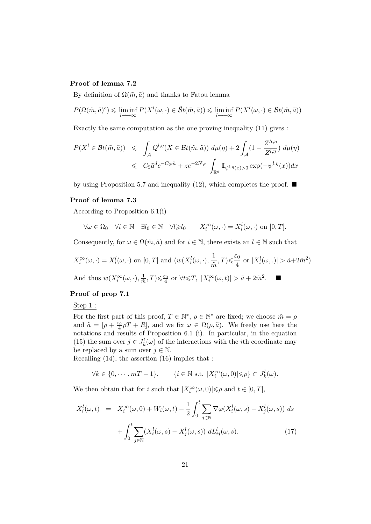#### Proof of lemma 7.2

By definition of  $\Omega(\tilde{m}, \tilde{a})$  and thanks to Fatou lemma

$$
P(\Omega(\tilde{m},\tilde{a})^c) \leq \liminf_{l \to +\infty} P(X^l(\omega,\cdot) \in \tilde{B}t(\tilde{m},\tilde{a})) \leq \liminf_{l \to +\infty} P(X^l(\omega,\cdot) \in \mathcal{B}t(\tilde{m},\tilde{a}))
$$

Exactly the same computation as the one proving inequality (11) gives :

$$
P(X^{l} \in \mathcal{B}t(\tilde{m}, \tilde{a})) \leq \int_{\mathcal{A}} Q^{l, \eta}(X \in \mathcal{B}t(\tilde{m}, \tilde{a})) d\mu(\eta) + 2 \int_{\mathcal{A}} (1 - \frac{Z^{\Lambda, \eta}}{Z^{l, \eta}}) d\mu(\eta)
$$
  

$$
\leq C_{5} \tilde{a}^{d} e^{-C_{6} \tilde{m}} + z e^{-2\overline{N} \underline{\varphi}} \int_{\mathbb{R}^{d}} \mathbb{1}_{\psi^{l, \eta}(x) > 0} \exp(-\psi^{l, \eta}(x)) dx
$$

by using Proposition 5.7 and inequality (12), which completes the proof.  $\blacksquare$ 

#### Proof of lemma 7.3

According to Proposition 6.1(i)

$$
\forall \omega \in \Omega_0 \quad \forall i \in \mathbb{N} \quad \exists l_0 \in \mathbb{N} \quad \forall l \geqslant l_0 \qquad X_i^{\infty}(\omega, \cdot) = X_i^l(\omega, \cdot) \text{ on } [0, T].
$$

Consequently, for  $\omega \in \Omega(\tilde{m}, \tilde{a})$  and for  $i \in \mathbb{N}$ , there exists an  $l \in \mathbb{N}$  such that

$$
X_i^{\infty}(\omega, \cdot) = X_i^l(\omega, \cdot) \text{ on } [0, T] \text{ and } (w(X_i^l(\omega, \cdot), \frac{1}{\tilde{m}}, T) \leq \frac{\varepsilon_0}{4} \text{ or } |X_i^l(\omega, \cdot)| > \tilde{a} + 2\tilde{m}^2)
$$

And thus  $w(X_i^{\infty}(\omega, \cdot), \frac{1}{\tilde{n}})$  $\frac{1}{\tilde{m}},T) \leq \frac{\varepsilon_0}{4}$  or  $\forall t \leq T$ ,  $|X_i^{\infty}(\omega, t)| > \tilde{a} + 2\tilde{m}^2$ .

#### Proof of prop 7.1

Step 1 :

For the first part of this proof,  $T \in \mathbb{N}^*$ ,  $\rho \in \mathbb{N}^*$  are fixed; we choose  $\tilde{m} = \rho$ and  $\tilde{a} = [\rho + \frac{\varepsilon_0}{4} \rho T + R]$ , and we fix  $\omega \in \Omega(\rho, \tilde{a})$ . We freely use here the notations and results of Proposition 6.1 (i). In particular, in the equation (15) the sum over  $j \in J_k^l(\omega)$  of the interactions with the *i*th coordinate may be replaced by a sum over  $j \in \mathbb{N}$ .

Recalling (14), the assertion (16) implies that :

$$
\forall k \in \{0, \cdots, mT - 1\}, \qquad \{i \in \mathbb{N} \text{ s.t. } |X_i^{\infty}(\omega, 0)| \leq \rho\} \subset J_k^l(\omega).
$$

We then obtain that for *i* such that  $|X_i^{\infty}(\omega, 0)| \le \rho$  and  $t \in [0, T]$ ,

$$
X_i^l(\omega, t) = X_i^{\infty}(\omega, 0) + W_i(\omega, t) - \frac{1}{2} \int_0^t \sum_{j \in \mathbb{N}} \nabla \varphi(X_i^l(\omega, s) - X_j^l(\omega, s)) ds
$$

$$
+ \int_0^t \sum_{j \in \mathbb{N}} (X_i^l(\omega, s) - X_j^l(\omega, s)) dL_{ij}^l(\omega, s).
$$
(17)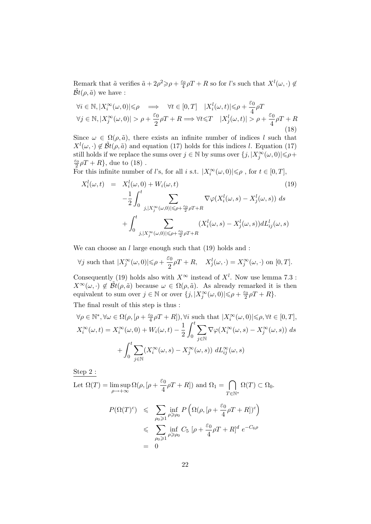Remark that  $\tilde{a}$  verifies  $\tilde{a} + 2\rho^2 \geq \rho + \frac{\varepsilon_0}{4}\rho T + R$  so for *l*'s such that  $X^l(\omega, \cdot) \notin$  $\tilde{\mathcal{B}}t(\rho,\tilde{a})$  we have :

$$
\forall i \in \mathbb{N}, |X_i^{\infty}(\omega, 0)| \leq \rho \implies \forall t \in [0, T] \quad |X_i^l(\omega, t)| \leq \rho + \frac{\varepsilon_0}{4} \rho T
$$
  

$$
\forall j \in \mathbb{N}, |X_j^{\infty}(\omega, 0)| > \rho + \frac{\varepsilon_0}{2} \rho T + R \implies \forall t \leq T \quad |X_j^l(\omega, t)| > \rho + \frac{\varepsilon_0}{4} \rho T + R
$$
\n(18)

Since  $\omega \in \Omega(\rho, \tilde{a})$ , there exists an infinite number of indices l such that  $X^{l}(\omega, \cdot) \notin \tilde{B}t(\rho, \tilde{a})$  and equation (17) holds for this indices l. Equation (17) still holds if we replace the sums over  $j \in \mathbb{N}$  by sums over  $\{j, |X_j^{\infty}(\omega,0)| \leq \rho + \}$  $\frac{\varepsilon_0}{2}\rho T + R$ , due to (18).

For this infinite number of *l*'s, for all *i* s.t.  $|X_i^{\infty}(\omega, 0)| \le \rho$ , for  $t \in [0, T]$ ,

$$
X_i^l(\omega, t) = X_i^l(\omega, 0) + W_i(\omega, t)
$$
\n
$$
- \frac{1}{2} \int_0^t \sum_{j, |X_j^{\infty}(\omega, 0)| \le \rho + \frac{\varepsilon_0}{2} \rho T + R} \nabla \varphi(X_i^l(\omega, s) - X_j^l(\omega, s)) ds
$$
\n
$$
+ \int_0^t \sum_{j, |X_j^{\infty}(\omega, 0)| \le \rho + \frac{\varepsilon_0}{2} \rho T + R} (X_i^l(\omega, s) - X_j^l(\omega, s)) dL_{ij}^l(\omega, s)
$$
\n(19)

We can choose an  $l$  large enough such that  $(19)$  holds and :

 $\forall j$  such that  $|X_j^{\infty}(\omega,0)| \leqslant \rho + \frac{\varepsilon_0}{2}$  $\frac{z_0}{2}\rho T + R$ ,  $X_j^l(\omega, \cdot) = X_j^{\infty}(\omega, \cdot)$  on  $[0, T]$ .

Consequently (19) holds also with  $X^{\infty}$  instead of  $X^{l}$ . Now use lemma 7.3 :  $X^{\infty}(\omega, \cdot) \notin \tilde{B}t(\rho, \tilde{a})$  because  $\omega \in \Omega(\rho, \tilde{a})$ . As already remarked it is then equivalent to sum over  $j \in \mathbb{N}$  or over  $\{j, |X_j^{\infty}(\omega, 0)| \leq \rho + \frac{\varepsilon_0}{2}\rho T + R\}.$ 

The final result of this step is thus :

$$
\forall \rho \in \mathbb{N}^*, \forall \omega \in \Omega(\rho, [\rho + \frac{\varepsilon_0}{4}\rho T + R]), \forall i \text{ such that } |X_i^{\infty}(\omega, 0)| \leqslant \rho, \forall t \in [0, T],
$$
  

$$
X_i^{\infty}(\omega, t) = X_i^{\infty}(\omega, 0) + W_i(\omega, t) - \frac{1}{2} \int_0^t \sum_{j \in \mathbb{N}} \nabla \varphi(X_i^{\infty}(\omega, s) - X_j^{\infty}(\omega, s)) ds
$$
  

$$
+ \int_0^t \sum_{j \in \mathbb{N}} (X_i^{\infty}(\omega, s) - X_j^{\infty}(\omega, s)) dL_{ij}^{\infty}(\omega, s)
$$

Step 2 :

Let 
$$
\Omega(T) = \limsup_{\rho \to +\infty} \Omega(\rho, [\rho + \frac{\varepsilon_0}{4}\rho T + R])
$$
 and  $\Omega_1 = \bigcap_{T \in \mathbb{N}^*} \Omega(T) \subset \Omega_0$ .

$$
P(\Omega(T)^c) \leq \sum_{\rho_0 \geq 1} \inf_{\rho \geq \rho_0} P\left(\Omega(\rho, [\rho + \frac{\varepsilon_0}{4} \rho T + R])^c\right)
$$
  

$$
\leq \sum_{\rho_0 \geq 1} \inf_{\rho \geq \rho_0} C_5 \left[\rho + \frac{\varepsilon_0}{4} \rho T + R\right]^d e^{-C_6 \rho}
$$
  
= 0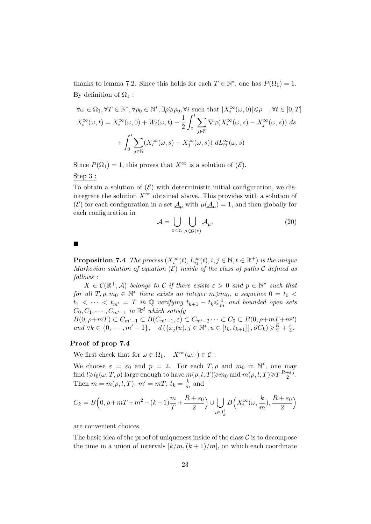thanks to lemma 7.2. Since this holds for each  $T \in \mathbb{N}^*$ , one has  $P(\Omega_1) = 1$ . By definition of  $\Omega_1$ :

$$
\forall \omega \in \Omega_1, \forall T \in \mathbb{N}^*, \forall \rho_0 \in \mathbb{N}^*, \exists \rho \geqslant \rho_0, \forall i \text{ such that } |X_i^{\infty}(\omega, 0)| \leqslant \rho \quad, \forall t \in [0, T]
$$

$$
X_i^{\infty}(\omega, t) = X_i^{\infty}(\omega, 0) + W_i(\omega, t) - \frac{1}{2} \int_0^t \sum_{j \in \mathbb{N}} \nabla \varphi(X_i^{\infty}(\omega, s) - X_j^{\infty}(\omega, s)) ds
$$

$$
+ \int_0^t \sum_{j \in \mathbb{N}} (X_i^{\infty}(\omega, s) - X_j^{\infty}(\omega, s)) dL_{ij}^{\infty}(\omega, s)
$$

Since  $P(\Omega_1) = 1$ , this proves that  $X^{\infty}$  is a solution of  $(\mathcal{E})$ .

Step 3 :

To obtain a solution of  $(\mathcal{E})$  with deterministic initial configuration, we disintegrate the solution  $X^{\infty}$  obtained above. This provides with a solution of (E) for each configuration in a set  $\underline{A}_{\mu}$  with  $\mu(\underline{A}_{\mu}) = 1$ , and then globally for each configuration in

$$
\underline{\mathcal{A}} = \bigcup_{z < z_c} \bigcup_{\mu \in \mathcal{G}(z)} \underline{\mathcal{A}}_{\mu}.\tag{20}
$$

 $\blacksquare$ 

**Proposition 7.4** The process  $(X_i^{\infty}(t), L_{ij}^{\infty}(t), i, j \in \mathbb{N}, t \in \mathbb{R}^+)$  is the unique Markovian solution of equation  $(\mathcal{E})$  inside of the class of paths C defined as follows :

 $X \in \mathcal{C}(\mathbb{R}^+, \mathcal{A})$  belongs to C if there exists  $\varepsilon > 0$  and  $p \in \mathbb{N}^*$  such that for all  $T, \rho, m_0 \in \mathbb{N}^*$  there exists an integer  $m \geq m_0$ , a sequence  $0 = t_0 <$  $t_1 < \cdots < t_{m'} = T$  in Q verifying  $t_{k+1} - t_k \leq \frac{1}{n}$  $\frac{1}{m}$  and bounded open sets  $C_0, C_1, \cdots, C_{m'-1}$  in  $\mathbb{R}^d$  which satisfy

 $B(0, \rho+mT) \subset C_{m'-1} \subset B(C_{m'-1}, \varepsilon) \subset C_{m'-2} \cdots \subset C_0 \subset B(0, \rho+mT+m^p)$ and  $\forall k \in \{0, \cdots, m' - 1\}, \quad d\left(\{x_j(u), j \in \mathbb{N}^*, u \in [t_k, t_{k+1}]\}, \partial C_k\right) \geq \frac{R}{2} + \frac{\varepsilon}{4}$  $rac{\varepsilon}{4}$ .

### Proof of prop 7.4

We first check that for  $\omega \in \Omega_1$ ,  $X^{\infty}(\omega, \cdot) \in \mathcal{C}$ :

We choose  $\varepsilon = \varepsilon_0$  and  $p = 2$ . For each  $T, \rho$  and  $m_0$  in  $\mathbb{N}^*$ , one may find  $l \geq l_0(\omega, T, \rho)$  large enough to have  $m(\rho, l, T) \geq m_0$  and  $m(\rho, l, T) \geq T \frac{R+\varepsilon_0}{2}$ . Then  $m = m(\rho, l, T)$ ,  $m' = mT$ ,  $t_k = \frac{k}{m}$  $\frac{k}{m}$  and

$$
C_k = B\left(0, \rho + mT + m^2 - (k+1)\frac{m}{T} + \frac{R + \varepsilon_0}{2}\right) \cup \bigcup_{i \in J_k^l} B\left(X_i^{\infty}(\omega, \frac{k}{m}), \frac{R + \varepsilon_0}{2}\right)
$$

are convenient choices.

The basic idea of the proof of uniqueness inside of the class  $\mathcal C$  is to decompose the time in a union of intervals  $\lfloor k/m,(k+1)/m \rfloor$ , on which each coordinate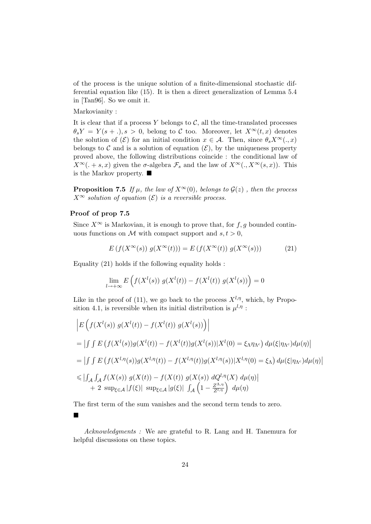of the process is the unique solution of a finite-dimensional stochastic differential equation like (15). It is then a direct generalization of Lemma 5.4 in [Tan96]. So we omit it.

Markovianity :

It is clear that if a process Y belongs to  $\mathcal{C}$ , all the time-translated processes  $\theta_s Y = Y(s + .), s > 0$ , belong to C too. Moreover, let  $X^\infty(t, x)$  denotes the solution of  $(\mathcal{E})$  for an initial condition  $x \in \mathcal{A}$ . Then, since  $\theta_s X^\infty(.,x)$ belongs to C and is a solution of equation  $(\mathcal{E})$ , by the uniqueness property proved above, the following distributions coincide : the conditional law of  $X^{\infty}(. + s, x)$  given the  $\sigma$ -algebra  $\mathcal{F}_s$  and the law of  $X^{\infty}(. , X^{\infty}(s, x))$ . This is the Markov property.  $\blacksquare$ 

**Proposition 7.5** If  $\mu$ , the law of  $X^{\infty}(0)$ , belongs to  $\mathcal{G}(z)$ , then the process  $X^{\infty}$  solution of equation  $(\mathcal{E})$  is a reversible process.

#### Proof of prop 7.5

Since  $X^{\infty}$  is Markovian, it is enough to prove that, for  $f, g$  bounded continuous functions on M with compact support and  $s, t > 0$ ,

$$
E(f(X^{\infty}(s)) g(X^{\infty}(t))) = E(f(X^{\infty}(t)) g(X^{\infty}(s)))
$$
\n(21)

Equality (21) holds if the following equality holds :

$$
\lim_{l \to +\infty} E\left(f(X^l(s)) g(X^l(t)) - f(X^l(t)) g(X^l(s))\right) = 0
$$

Like in the proof of (11), we go back to the process  $X^{l,\eta}$ , which, by Proposition 4.1, is reversible when its initial distribution is  $\mu^{l,\eta}$ :

$$
\begin{aligned}\n\left| E\left(f(X^l(s)) g(X^l(t)) - f(X^l(t)) g(X^l(s))\right) \right| \\
&= \left| \int \int E\left(f(X^l(s)) g(X^l(t)) - f(X^l(t)) g(X^l(s)) | X^l(0) = \xi_{\Lambda} \eta_{\Lambda^c} \right) d\mu(\xi | \eta_{\Lambda^c}) d\mu(\eta) \right| \\
&= \left| \int \int E\left(f(X^{l,\eta}(s)) g(X^{l,\eta}(t)) - f(X^{l,\eta}(t)) g(X^{l,\eta}(s)) | X^{l,\eta}(0) = \xi_{\Lambda}\right) d\mu(\xi | \eta_{\Lambda^c}) d\mu(\eta) \right| \\
&\leq \left| \int_{\mathcal{A}} \int_{\mathcal{A}} f(X(s)) g(X(t)) - f(X(t)) g(X(s)) dQ^{l,\eta}(X) d\mu(\eta) \right| \\
&\quad + 2 \sup_{\xi \in \mathcal{A}} |f(\xi)| \sup_{\xi \in \mathcal{A}} |g(\xi)| \int_{\mathcal{A}} \left(1 - \frac{Z^{\Lambda,\eta}}{Z^{l,\eta}} \right) d\mu(\eta)\n\end{aligned}
$$

 $\begin{array}{c} \begin{array}{c} \begin{array}{c} \end{array} \\ \begin{array}{c} \end{array} \end{array} \end{array}$ 

The first term of the sum vanishes and the second term tends to zero.



Acknowledgments : We are grateful to R. Lang and H. Tanemura for helpful discussions on these topics.